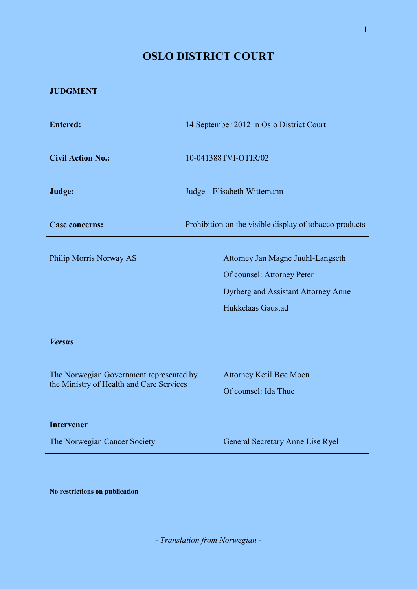# **OSLO DISTRICT COURT**

## **JUDGMENT**

| <b>Entered:</b>                                                                     | 14 September 2012 in Oslo District Court                                                                                           |
|-------------------------------------------------------------------------------------|------------------------------------------------------------------------------------------------------------------------------------|
| <b>Civil Action No.:</b>                                                            | 10-041388TVI-OTIR/02                                                                                                               |
| Judge:                                                                              | Judge Elisabeth Wittemann                                                                                                          |
| <b>Case concerns:</b>                                                               | Prohibition on the visible display of tobacco products                                                                             |
| Philip Morris Norway AS                                                             | Attorney Jan Magne Juuhl-Langseth<br>Of counsel: Attorney Peter<br><b>Dyrberg and Assistant Attorney Anne</b><br>Hukkelaas Gaustad |
| <b>Versus</b>                                                                       |                                                                                                                                    |
| The Norwegian Government represented by<br>the Ministry of Health and Care Services | Attorney Ketil Bøe Moen<br>Of counsel: Ida Thue                                                                                    |
| <b>Intervener</b>                                                                   |                                                                                                                                    |
| The Norwegian Cancer Society                                                        | General Secretary Anne Lise Ryel                                                                                                   |
|                                                                                     |                                                                                                                                    |

**No restrictions on publication**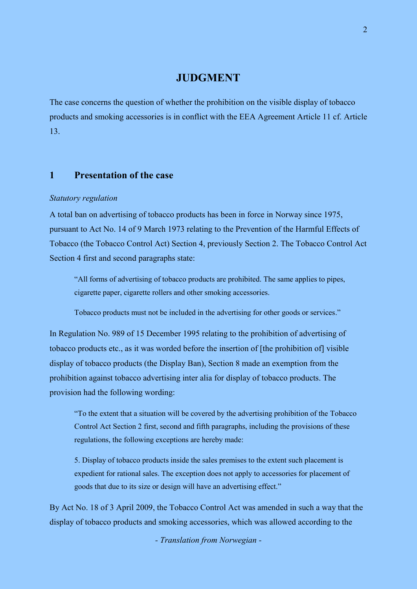# **JUDGMENT**

The case concerns the question of whether the prohibition on the visible display of tobacco products and smoking accessories is in conflict with the EEA Agreement Article 11 cf. Article 13.

# **1 Presentation of the case**

#### *Statutory regulation*

A total ban on advertising of tobacco products has been in force in Norway since 1975, pursuant to Act No. 14 of 9 March 1973 relating to the Prevention of the Harmful Effects of Tobacco (the Tobacco Control Act) Section 4, previously Section 2. The Tobacco Control Act Section 4 first and second paragraphs state:

"All forms of advertising of tobacco products are prohibited. The same applies to pipes, cigarette paper, cigarette rollers and other smoking accessories.

Tobacco products must not be included in the advertising for other goods or services."

In Regulation No. 989 of 15 December 1995 relating to the prohibition of advertising of tobacco products etc., as it was worded before the insertion of the prohibition of visible display of tobacco products (the Display Ban), Section 8 made an exemption from the prohibition against tobacco advertising inter alia for display of tobacco products. The provision had the following wording:

"To the extent that a situation will be covered by the advertising prohibition of the Tobacco Control Act Section 2 first, second and fifth paragraphs, including the provisions of these regulations, the following exceptions are hereby made:

5. Display of tobacco products inside the sales premises to the extent such placement is expedient for rational sales. The exception does not apply to accessories for placement of goods that due to its size or design will have an advertising effect."

By Act No. 18 of 3 April 2009, the Tobacco Control Act was amended in such a way that the display of tobacco products and smoking accessories, which was allowed according to the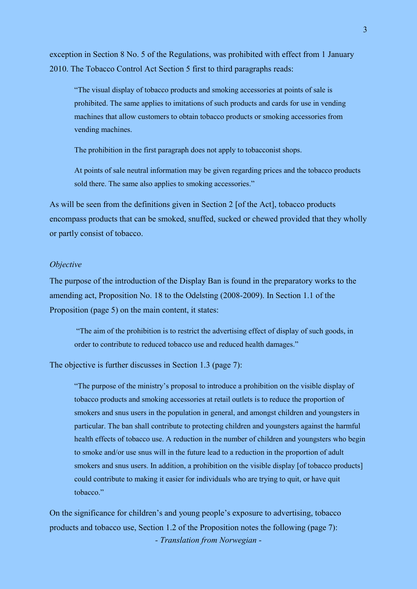exception in Section 8 No. 5 of the Regulations, was prohibited with effect from 1 January 2010. The Tobacco Control Act Section 5 first to third paragraphs reads:

"The visual display of tobacco products and smoking accessories at points of sale is prohibited. The same applies to imitations of such products and cards for use in vending machines that allow customers to obtain tobacco products or smoking accessories from vending machines.

The prohibition in the first paragraph does not apply to tobacconist shops.

At points of sale neutral information may be given regarding prices and the tobacco products sold there. The same also applies to smoking accessories."

As will be seen from the definitions given in Section 2 [of the Act], tobacco products encompass products that can be smoked, snuffed, sucked or chewed provided that they wholly or partly consist of tobacco.

#### *Objective*

The purpose of the introduction of the Display Ban is found in the preparatory works to the amending act, Proposition No. 18 to the Odelsting (2008-2009). In Section 1.1 of the Proposition (page 5) on the main content, it states:

"The aim of the prohibition is to restrict the advertising effect of display of such goods, in order to contribute to reduced tobacco use and reduced health damages."

The objective is further discusses in Section 1.3 (page 7):

"The purpose of the ministry's proposal to introduce a prohibition on the visible display of tobacco products and smoking accessories at retail outlets is to reduce the proportion of smokers and snus users in the population in general, and amongst children and youngsters in particular. The ban shall contribute to protecting children and youngsters against the harmful health effects of tobacco use. A reduction in the number of children and youngsters who begin to smoke and/or use snus will in the future lead to a reduction in the proportion of adult smokers and snus users. In addition, a prohibition on the visible display [of tobacco products] could contribute to making it easier for individuals who are trying to quit, or have quit tobacco."

*- Translation from Norwegian -* On the significance for children's and young people's exposure to advertising, tobacco products and tobacco use, Section 1.2 of the Proposition notes the following (page 7):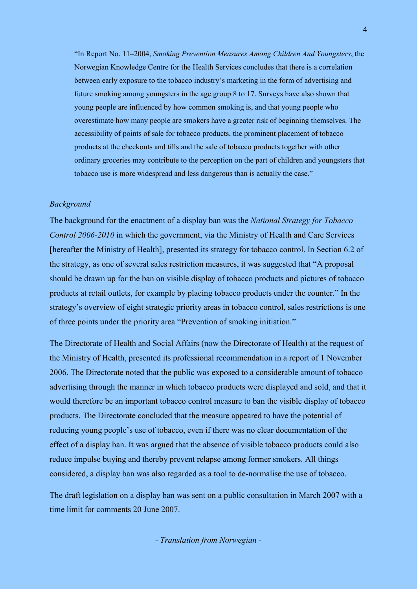"In Report No. 11–2004, *Smoking Prevention Measures Among Children And Youngsters*, the Norwegian Knowledge Centre for the Health Services concludes that there is a correlation between early exposure to the tobacco industry's marketing in the form of advertising and future smoking among youngsters in the age group 8 to 17. Surveys have also shown that young people are influenced by how common smoking is, and that young people who overestimate how many people are smokers have a greater risk of beginning themselves. The accessibility of points of sale for tobacco products, the prominent placement of tobacco products at the checkouts and tills and the sale of tobacco products together with other ordinary groceries may contribute to the perception on the part of children and youngsters that tobacco use is more widespread and less dangerous than is actually the case."

### *Background*

The background for the enactment of a display ban was the *National Strategy for Tobacco Control 2006-2010* in which the government, via the Ministry of Health and Care Services [hereafter the Ministry of Health], presented its strategy for tobacco control. In Section 6.2 of the strategy, as one of several sales restriction measures, it was suggested that "A proposal should be drawn up for the ban on visible display of tobacco products and pictures of tobacco products at retail outlets, for example by placing tobacco products under the counter." In the strategy's overview of eight strategic priority areas in tobacco control, sales restrictions is one of three points under the priority area "Prevention of smoking initiation."

The Directorate of Health and Social Affairs (now the Directorate of Health) at the request of the Ministry of Health, presented its professional recommendation in a report of 1 November 2006. The Directorate noted that the public was exposed to a considerable amount of tobacco advertising through the manner in which tobacco products were displayed and sold, and that it would therefore be an important tobacco control measure to ban the visible display of tobacco products. The Directorate concluded that the measure appeared to have the potential of reducing young people's use of tobacco, even if there was no clear documentation of the effect of a display ban. It was argued that the absence of visible tobacco products could also reduce impulse buying and thereby prevent relapse among former smokers. All things considered, a display ban was also regarded as a tool to de-normalise the use of tobacco.

The draft legislation on a display ban was sent on a public consultation in March 2007 with a time limit for comments 20 June 2007.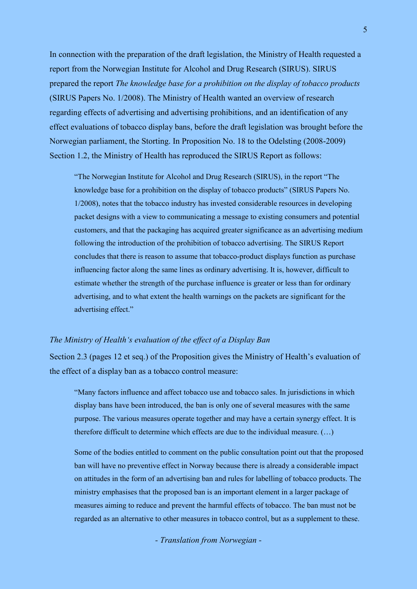In connection with the preparation of the draft legislation, the Ministry of Health requested a report from the Norwegian Institute for Alcohol and Drug Research (SIRUS). SIRUS prepared the report *The knowledge base for a prohibition on the display of tobacco products* (SIRUS Papers No. 1/2008). The Ministry of Health wanted an overview of research regarding effects of advertising and advertising prohibitions, and an identification of any effect evaluations of tobacco display bans, before the draft legislation was brought before the Norwegian parliament, the Storting. In Proposition No. 18 to the Odelsting (2008-2009) Section 1.2, the Ministry of Health has reproduced the SIRUS Report as follows:

"The Norwegian Institute for Alcohol and Drug Research (SIRUS), in the report "The knowledge base for a prohibition on the display of tobacco products" (SIRUS Papers No. 1/2008), notes that the tobacco industry has invested considerable resources in developing packet designs with a view to communicating a message to existing consumers and potential customers, and that the packaging has acquired greater significance as an advertising medium following the introduction of the prohibition of tobacco advertising. The SIRUS Report concludes that there is reason to assume that tobacco-product displays function as purchase influencing factor along the same lines as ordinary advertising. It is, however, difficult to estimate whether the strength of the purchase influence is greater or less than for ordinary advertising, and to what extent the health warnings on the packets are significant for the advertising effect."

#### *The Ministry of Health's evaluation of the effect of a Display Ban*

Section 2.3 (pages 12 et seq.) of the Proposition gives the Ministry of Health's evaluation of the effect of a display ban as a tobacco control measure:

"Many factors influence and affect tobacco use and tobacco sales. In jurisdictions in which display bans have been introduced, the ban is only one of several measures with the same purpose. The various measures operate together and may have a certain synergy effect. It is therefore difficult to determine which effects are due to the individual measure. (…)

Some of the bodies entitled to comment on the public consultation point out that the proposed ban will have no preventive effect in Norway because there is already a considerable impact on attitudes in the form of an advertising ban and rules for labelling of tobacco products. The ministry emphasises that the proposed ban is an important element in a larger package of measures aiming to reduce and prevent the harmful effects of tobacco. The ban must not be regarded as an alternative to other measures in tobacco control, but as a supplement to these.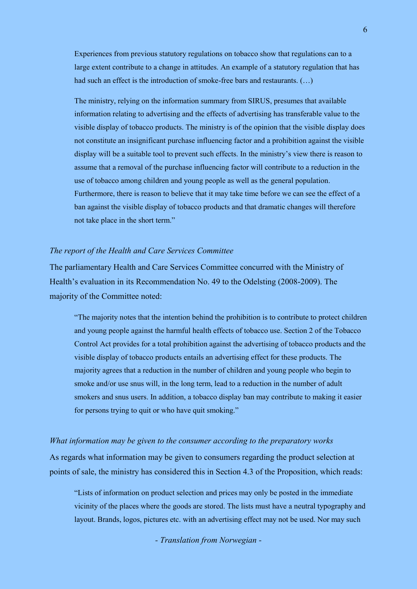Experiences from previous statutory regulations on tobacco show that regulations can to a large extent contribute to a change in attitudes. An example of a statutory regulation that has had such an effect is the introduction of smoke-free bars and restaurants. (...)

The ministry, relying on the information summary from SIRUS, presumes that available information relating to advertising and the effects of advertising has transferable value to the visible display of tobacco products. The ministry is of the opinion that the visible display does not constitute an insignificant purchase influencing factor and a prohibition against the visible display will be a suitable tool to prevent such effects. In the ministry's view there is reason to assume that a removal of the purchase influencing factor will contribute to a reduction in the use of tobacco among children and young people as well as the general population. Furthermore, there is reason to believe that it may take time before we can see the effect of a ban against the visible display of tobacco products and that dramatic changes will therefore not take place in the short term."

#### *The report of the Health and Care Services Committee*

The parliamentary Health and Care Services Committee concurred with the Ministry of Health's evaluation in its Recommendation No. 49 to the Odelsting (2008-2009). The majority of the Committee noted:

"The majority notes that the intention behind the prohibition is to contribute to protect children and young people against the harmful health effects of tobacco use. Section 2 of the Tobacco Control Act provides for a total prohibition against the advertising of tobacco products and the visible display of tobacco products entails an advertising effect for these products. The majority agrees that a reduction in the number of children and young people who begin to smoke and/or use snus will, in the long term, lead to a reduction in the number of adult smokers and snus users. In addition, a tobacco display ban may contribute to making it easier for persons trying to quit or who have quit smoking."

#### *What information may be given to the consumer according to the preparatory works*

As regards what information may be given to consumers regarding the product selection at points of sale, the ministry has considered this in Section 4.3 of the Proposition, which reads:

"Lists of information on product selection and prices may only be posted in the immediate vicinity of the places where the goods are stored. The lists must have a neutral typography and layout. Brands, logos, pictures etc. with an advertising effect may not be used. Nor may such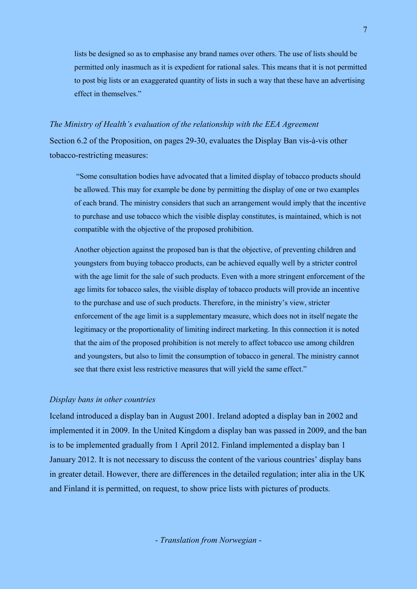lists be designed so as to emphasise any brand names over others. The use of lists should be permitted only inasmuch as it is expedient for rational sales. This means that it is not permitted to post big lists or an exaggerated quantity of lists in such a way that these have an advertising effect in themselves."

#### *The Ministry of Health's evaluation of the relationship with the EEA Agreement*

Section 6.2 of the Proposition, on pages 29-30, evaluates the Display Ban vis-à-vis other tobacco-restricting measures:

"Some consultation bodies have advocated that a limited display of tobacco products should be allowed. This may for example be done by permitting the display of one or two examples of each brand. The ministry considers that such an arrangement would imply that the incentive to purchase and use tobacco which the visible display constitutes, is maintained, which is not compatible with the objective of the proposed prohibition.

Another objection against the proposed ban is that the objective, of preventing children and youngsters from buying tobacco products, can be achieved equally well by a stricter control with the age limit for the sale of such products. Even with a more stringent enforcement of the age limits for tobacco sales, the visible display of tobacco products will provide an incentive to the purchase and use of such products. Therefore, in the ministry's view, stricter enforcement of the age limit is a supplementary measure, which does not in itself negate the legitimacy or the proportionality of limiting indirect marketing. In this connection it is noted that the aim of the proposed prohibition is not merely to affect tobacco use among children and youngsters, but also to limit the consumption of tobacco in general. The ministry cannot see that there exist less restrictive measures that will yield the same effect."

## *Display bans in other countries*

Iceland introduced a display ban in August 2001. Ireland adopted a display ban in 2002 and implemented it in 2009. In the United Kingdom a display ban was passed in 2009, and the ban is to be implemented gradually from 1 April 2012. Finland implemented a display ban 1 January 2012. It is not necessary to discuss the content of the various countries' display bans in greater detail. However, there are differences in the detailed regulation; inter alia in the UK and Finland it is permitted, on request, to show price lists with pictures of products.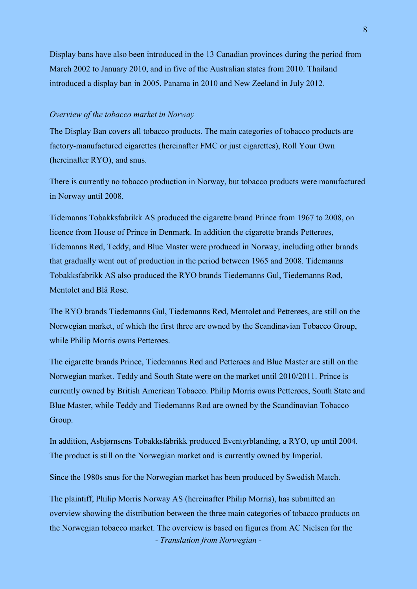Display bans have also been introduced in the 13 Canadian provinces during the period from March 2002 to January 2010, and in five of the Australian states from 2010. Thailand introduced a display ban in 2005, Panama in 2010 and New Zeeland in July 2012.

#### *Overview of the tobacco market in Norway*

The Display Ban covers all tobacco products. The main categories of tobacco products are factory-manufactured cigarettes (hereinafter FMC or just cigarettes), Roll Your Own (hereinafter RYO), and snus.

There is currently no tobacco production in Norway, but tobacco products were manufactured in Norway until 2008.

Tidemanns Tobakksfabrikk AS produced the cigarette brand Prince from 1967 to 2008, on licence from House of Prince in Denmark. In addition the cigarette brands Petterøes, Tidemanns Rød, Teddy, and Blue Master were produced in Norway, including other brands that gradually went out of production in the period between 1965 and 2008. Tidemanns Tobakksfabrikk AS also produced the RYO brands Tiedemanns Gul, Tiedemanns Rød, Mentolet and Blå Rose.

The RYO brands Tiedemanns Gul, Tiedemanns Rød, Mentolet and Petterøes, are still on the Norwegian market, of which the first three are owned by the Scandinavian Tobacco Group, while Philip Morris owns Petterøes.

The cigarette brands Prince, Tiedemanns Rød and Petterøes and Blue Master are still on the Norwegian market. Teddy and South State were on the market until 2010/2011. Prince is currently owned by British American Tobacco. Philip Morris owns Petterøes, South State and Blue Master, while Teddy and Tiedemanns Rød are owned by the Scandinavian Tobacco Group.

In addition, Asbjørnsens Tobakksfabrikk produced Eventyrblanding, a RYO, up until 2004. The product is still on the Norwegian market and is currently owned by Imperial.

Since the 1980s snus for the Norwegian market has been produced by Swedish Match.

*- Translation from Norwegian -* The plaintiff, Philip Morris Norway AS (hereinafter Philip Morris), has submitted an overview showing the distribution between the three main categories of tobacco products on the Norwegian tobacco market. The overview is based on figures from AC Nielsen for the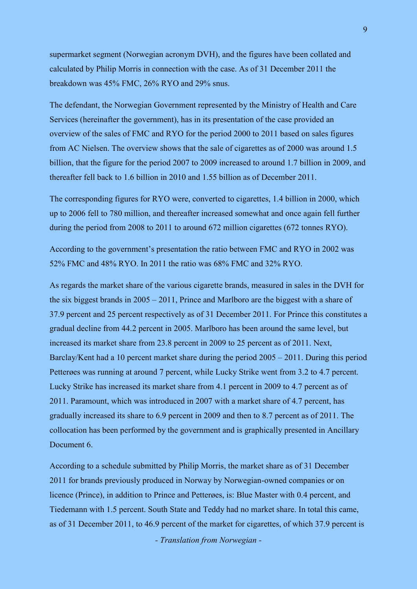supermarket segment (Norwegian acronym DVH), and the figures have been collated and calculated by Philip Morris in connection with the case. As of 31 December 2011 the breakdown was 45% FMC, 26% RYO and 29% snus.

The defendant, the Norwegian Government represented by the Ministry of Health and Care Services (hereinafter the government), has in its presentation of the case provided an overview of the sales of FMC and RYO for the period 2000 to 2011 based on sales figures from AC Nielsen. The overview shows that the sale of cigarettes as of 2000 was around 1.5 billion, that the figure for the period 2007 to 2009 increased to around 1.7 billion in 2009, and thereafter fell back to 1.6 billion in 2010 and 1.55 billion as of December 2011.

The corresponding figures for RYO were, converted to cigarettes, 1.4 billion in 2000, which up to 2006 fell to 780 million, and thereafter increased somewhat and once again fell further during the period from 2008 to 2011 to around 672 million cigarettes (672 tonnes RYO).

According to the government's presentation the ratio between FMC and RYO in 2002 was 52% FMC and 48% RYO. In 2011 the ratio was 68% FMC and 32% RYO.

As regards the market share of the various cigarette brands, measured in sales in the DVH for the six biggest brands in 2005 – 2011, Prince and Marlboro are the biggest with a share of 37.9 percent and 25 percent respectively as of 31 December 2011. For Prince this constitutes a gradual decline from 44.2 percent in 2005. Marlboro has been around the same level, but increased its market share from 23.8 percent in 2009 to 25 percent as of 2011. Next, Barclay/Kent had a 10 percent market share during the period 2005 – 2011. During this period Petterøes was running at around 7 percent, while Lucky Strike went from 3.2 to 4.7 percent. Lucky Strike has increased its market share from 4.1 percent in 2009 to 4.7 percent as of 2011. Paramount, which was introduced in 2007 with a market share of 4.7 percent, has gradually increased its share to 6.9 percent in 2009 and then to 8.7 percent as of 2011. The collocation has been performed by the government and is graphically presented in Ancillary Document 6.

According to a schedule submitted by Philip Morris, the market share as of 31 December 2011 for brands previously produced in Norway by Norwegian-owned companies or on licence (Prince), in addition to Prince and Petterøes, is: Blue Master with 0.4 percent, and Tiedemann with 1.5 percent. South State and Teddy had no market share. In total this came, as of 31 December 2011, to 46.9 percent of the market for cigarettes, of which 37.9 percent is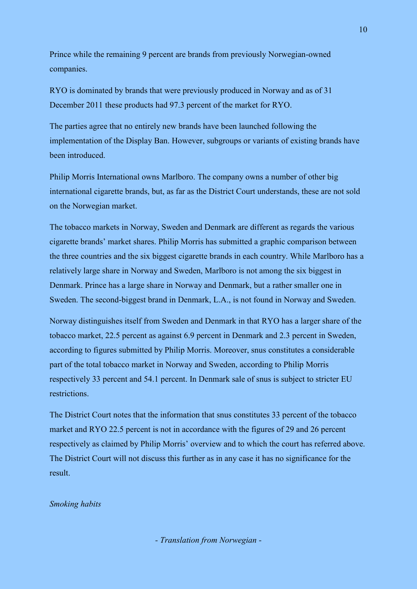Prince while the remaining 9 percent are brands from previously Norwegian-owned companies.

RYO is dominated by brands that were previously produced in Norway and as of 31 December 2011 these products had 97.3 percent of the market for RYO.

The parties agree that no entirely new brands have been launched following the implementation of the Display Ban. However, subgroups or variants of existing brands have been introduced.

Philip Morris International owns Marlboro. The company owns a number of other big international cigarette brands, but, as far as the District Court understands, these are not sold on the Norwegian market.

The tobacco markets in Norway, Sweden and Denmark are different as regards the various cigarette brands' market shares. Philip Morris has submitted a graphic comparison between the three countries and the six biggest cigarette brands in each country. While Marlboro has a relatively large share in Norway and Sweden, Marlboro is not among the six biggest in Denmark. Prince has a large share in Norway and Denmark, but a rather smaller one in Sweden. The second-biggest brand in Denmark, L.A., is not found in Norway and Sweden.

Norway distinguishes itself from Sweden and Denmark in that RYO has a larger share of the tobacco market, 22.5 percent as against 6.9 percent in Denmark and 2.3 percent in Sweden, according to figures submitted by Philip Morris. Moreover, snus constitutes a considerable part of the total tobacco market in Norway and Sweden, according to Philip Morris respectively 33 percent and 54.1 percent. In Denmark sale of snus is subject to stricter EU restrictions.

The District Court notes that the information that snus constitutes 33 percent of the tobacco market and RYO 22.5 percent is not in accordance with the figures of 29 and 26 percent respectively as claimed by Philip Morris' overview and to which the court has referred above. The District Court will not discuss this further as in any case it has no significance for the result.

## *Smoking habits*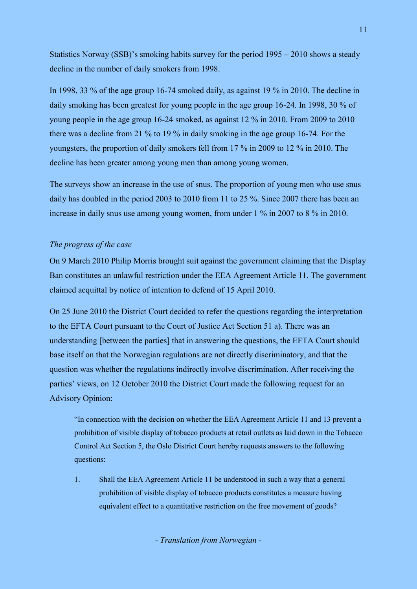Statistics Norway (SSB)'s smoking habits survey for the period 1995 – 2010 shows a steady decline in the number of daily smokers from 1998.

In 1998, 33 % of the age group 16-74 smoked daily, as against 19 % in 2010. The decline in daily smoking has been greatest for young people in the age group 16-24. In 1998, 30 % of young people in the age group 16-24 smoked, as against 12 % in 2010. From 2009 to 2010 there was a decline from 21 % to 19 % in daily smoking in the age group 16-74. For the youngsters, the proportion of daily smokers fell from 17 % in 2009 to 12 % in 2010. The decline has been greater among young men than among young women.

The surveys show an increase in the use of snus. The proportion of young men who use snus daily has doubled in the period 2003 to 2010 from 11 to 25 %. Since 2007 there has been an increase in daily snus use among young women, from under 1 % in 2007 to 8 % in 2010.

## *The progress of the case*

On 9 March 2010 Philip Morris brought suit against the government claiming that the Display Ban constitutes an unlawful restriction under the EEA Agreement Article 11. The government claimed acquittal by notice of intention to defend of 15 April 2010.

On 25 June 2010 the District Court decided to refer the questions regarding the interpretation to the EFTA Court pursuant to the Court of Justice Act Section 51 a). There was an understanding [between the parties] that in answering the questions, the EFTA Court should base itself on that the Norwegian regulations are not directly discriminatory, and that the question was whether the regulations indirectly involve discrimination. After receiving the parties' views, on 12 October 2010 the District Court made the following request for an Advisory Opinion:

"In connection with the decision on whether the EEA Agreement Article 11 and 13 prevent a prohibition of visible display of tobacco products at retail outlets as laid down in the Tobacco Control Act Section 5, the Oslo District Court hereby requests answers to the following questions:

1. Shall the EEA Agreement Article 11 be understood in such a way that a general prohibition of visible display of tobacco products constitutes a measure having equivalent effect to a quantitative restriction on the free movement of goods?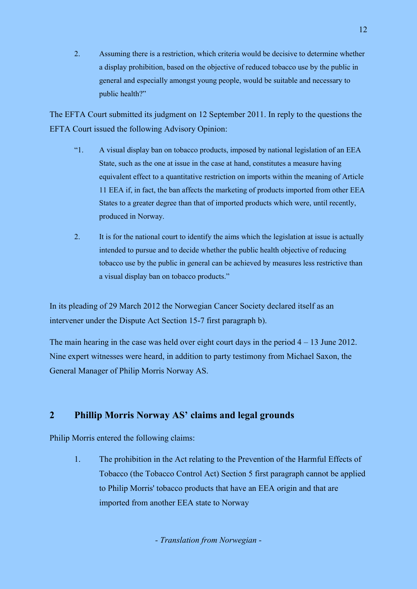2. Assuming there is a restriction, which criteria would be decisive to determine whether a display prohibition, based on the objective of reduced tobacco use by the public in general and especially amongst young people, would be suitable and necessary to public health?"

The EFTA Court submitted its judgment on 12 September 2011. In reply to the questions the EFTA Court issued the following Advisory Opinion:

- "1. A visual display ban on tobacco products, imposed by national legislation of an EEA State, such as the one at issue in the case at hand, constitutes a measure having equivalent effect to a quantitative restriction on imports within the meaning of Article 11 EEA if, in fact, the ban affects the marketing of products imported from other EEA States to a greater degree than that of imported products which were, until recently, produced in Norway.
- 2. It is for the national court to identify the aims which the legislation at issue is actually intended to pursue and to decide whether the public health objective of reducing tobacco use by the public in general can be achieved by measures less restrictive than a visual display ban on tobacco products."

In its pleading of 29 March 2012 the Norwegian Cancer Society declared itself as an intervener under the Dispute Act Section 15-7 first paragraph b).

The main hearing in the case was held over eight court days in the period  $4 - 13$  June 2012. Nine expert witnesses were heard, in addition to party testimony from Michael Saxon, the General Manager of Philip Morris Norway AS.

# **2 Phillip Morris Norway AS' claims and legal grounds**

Philip Morris entered the following claims:

1. The prohibition in the Act relating to the Prevention of the Harmful Effects of Tobacco (the Tobacco Control Act) Section 5 first paragraph cannot be applied to Philip Morris' tobacco products that have an EEA origin and that are imported from another EEA state to Norway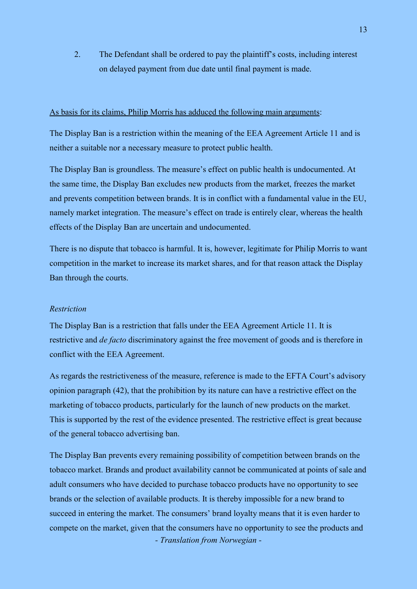2. The Defendant shall be ordered to pay the plaintiff's costs, including interest on delayed payment from due date until final payment is made.

### As basis for its claims, Philip Morris has adduced the following main arguments:

The Display Ban is a restriction within the meaning of the EEA Agreement Article 11 and is neither a suitable nor a necessary measure to protect public health.

The Display Ban is groundless. The measure's effect on public health is undocumented. At the same time, the Display Ban excludes new products from the market, freezes the market and prevents competition between brands. It is in conflict with a fundamental value in the EU, namely market integration. The measure's effect on trade is entirely clear, whereas the health effects of the Display Ban are uncertain and undocumented.

There is no dispute that tobacco is harmful. It is, however, legitimate for Philip Morris to want competition in the market to increase its market shares, and for that reason attack the Display Ban through the courts.

#### *Restriction*

The Display Ban is a restriction that falls under the EEA Agreement Article 11. It is restrictive and *de facto* discriminatory against the free movement of goods and is therefore in conflict with the EEA Agreement.

As regards the restrictiveness of the measure, reference is made to the EFTA Court's advisory opinion paragraph (42), that the prohibition by its nature can have a restrictive effect on the marketing of tobacco products, particularly for the launch of new products on the market. This is supported by the rest of the evidence presented. The restrictive effect is great because of the general tobacco advertising ban.

*- Translation from Norwegian -* The Display Ban prevents every remaining possibility of competition between brands on the tobacco market. Brands and product availability cannot be communicated at points of sale and adult consumers who have decided to purchase tobacco products have no opportunity to see brands or the selection of available products. It is thereby impossible for a new brand to succeed in entering the market. The consumers' brand loyalty means that it is even harder to compete on the market, given that the consumers have no opportunity to see the products and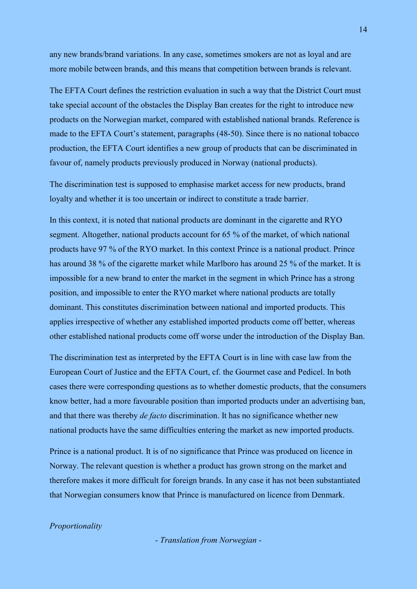any new brands/brand variations. In any case, sometimes smokers are not as loyal and are more mobile between brands, and this means that competition between brands is relevant.

The EFTA Court defines the restriction evaluation in such a way that the District Court must take special account of the obstacles the Display Ban creates for the right to introduce new products on the Norwegian market, compared with established national brands. Reference is made to the EFTA Court's statement, paragraphs (48-50). Since there is no national tobacco production, the EFTA Court identifies a new group of products that can be discriminated in favour of, namely products previously produced in Norway (national products).

The discrimination test is supposed to emphasise market access for new products, brand loyalty and whether it is too uncertain or indirect to constitute a trade barrier.

In this context, it is noted that national products are dominant in the cigarette and RYO segment. Altogether, national products account for 65 % of the market, of which national products have 97 % of the RYO market. In this context Prince is a national product. Prince has around 38 % of the cigarette market while Marlboro has around 25 % of the market. It is impossible for a new brand to enter the market in the segment in which Prince has a strong position, and impossible to enter the RYO market where national products are totally dominant. This constitutes discrimination between national and imported products. This applies irrespective of whether any established imported products come off better, whereas other established national products come off worse under the introduction of the Display Ban.

The discrimination test as interpreted by the EFTA Court is in line with case law from the European Court of Justice and the EFTA Court, cf. the Gourmet case and Pedicel. In both cases there were corresponding questions as to whether domestic products, that the consumers know better, had a more favourable position than imported products under an advertising ban, and that there was thereby *de facto* discrimination. It has no significance whether new national products have the same difficulties entering the market as new imported products.

Prince is a national product. It is of no significance that Prince was produced on licence in Norway. The relevant question is whether a product has grown strong on the market and therefore makes it more difficult for foreign brands. In any case it has not been substantiated that Norwegian consumers know that Prince is manufactured on licence from Denmark.

## *Proportionality*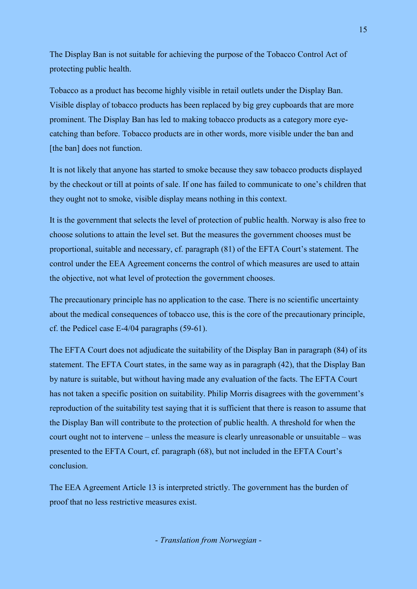The Display Ban is not suitable for achieving the purpose of the Tobacco Control Act of protecting public health.

Tobacco as a product has become highly visible in retail outlets under the Display Ban. Visible display of tobacco products has been replaced by big grey cupboards that are more prominent. The Display Ban has led to making tobacco products as a category more eyecatching than before. Tobacco products are in other words, more visible under the ban and [the ban] does not function.

It is not likely that anyone has started to smoke because they saw tobacco products displayed by the checkout or till at points of sale. If one has failed to communicate to one's children that they ought not to smoke, visible display means nothing in this context.

It is the government that selects the level of protection of public health. Norway is also free to choose solutions to attain the level set. But the measures the government chooses must be proportional, suitable and necessary, cf. paragraph (81) of the EFTA Court's statement. The control under the EEA Agreement concerns the control of which measures are used to attain the objective, not what level of protection the government chooses.

The precautionary principle has no application to the case. There is no scientific uncertainty about the medical consequences of tobacco use, this is the core of the precautionary principle, cf. the Pedicel case E-4/04 paragraphs (59-61).

The EFTA Court does not adjudicate the suitability of the Display Ban in paragraph (84) of its statement. The EFTA Court states, in the same way as in paragraph (42), that the Display Ban by nature is suitable, but without having made any evaluation of the facts. The EFTA Court has not taken a specific position on suitability. Philip Morris disagrees with the government's reproduction of the suitability test saying that it is sufficient that there is reason to assume that the Display Ban will contribute to the protection of public health. A threshold for when the court ought not to intervene – unless the measure is clearly unreasonable or unsuitable – was presented to the EFTA Court, cf. paragraph (68), but not included in the EFTA Court's conclusion.

The EEA Agreement Article 13 is interpreted strictly. The government has the burden of proof that no less restrictive measures exist.

15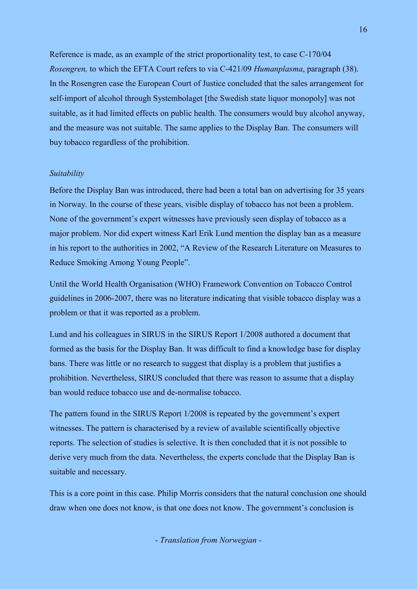Reference is made, as an example of the strict proportionality test, to case C-170/04 *Rosengren,* to which the EFTA Court refers to via C-421/09 *Humanplasma*, paragraph (38). In the Rosengren case the European Court of Justice concluded that the sales arrangement for self-import of alcohol through Systembolaget [the Swedish state liquor monopoly] was not suitable, as it had limited effects on public health. The consumers would buy alcohol anyway, and the measure was not suitable. The same applies to the Display Ban. The consumers will buy tobacco regardless of the prohibition.

#### *Suitability*

Before the Display Ban was introduced, there had been a total ban on advertising for 35 years in Norway. In the course of these years, visible display of tobacco has not been a problem. None of the government's expert witnesses have previously seen display of tobacco as a major problem. Nor did expert witness Karl Erik Lund mention the display ban as a measure in his report to the authorities in 2002, "A Review of the Research Literature on Measures to Reduce Smoking Among Young People".

Until the World Health Organisation (WHO) Framework Convention on Tobacco Control guidelines in 2006-2007, there was no literature indicating that visible tobacco display was a problem or that it was reported as a problem.

Lund and his colleagues in SIRUS in the SIRUS Report 1/2008 authored a document that formed as the basis for the Display Ban. It was difficult to find a knowledge base for display bans. There was little or no research to suggest that display is a problem that justifies a prohibition. Nevertheless, SIRUS concluded that there was reason to assume that a display ban would reduce tobacco use and de-normalise tobacco.

The pattern found in the SIRUS Report 1/2008 is repeated by the government's expert witnesses. The pattern is characterised by a review of available scientifically objective reports. The selection of studies is selective. It is then concluded that it is not possible to derive very much from the data. Nevertheless, the experts conclude that the Display Ban is suitable and necessary.

This is a core point in this case. Philip Morris considers that the natural conclusion one should draw when one does not know, is that one does not know. The government's conclusion is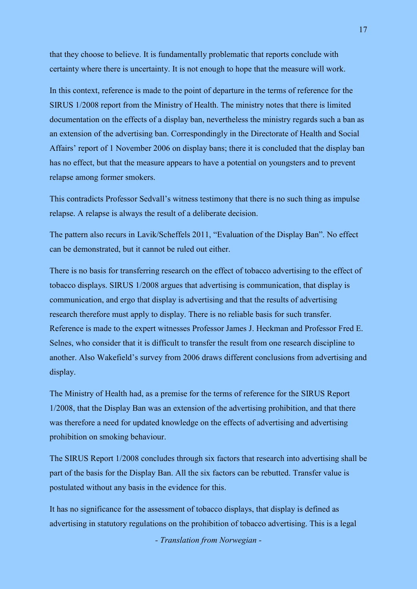that they choose to believe. It is fundamentally problematic that reports conclude with certainty where there is uncertainty. It is not enough to hope that the measure will work.

In this context, reference is made to the point of departure in the terms of reference for the SIRUS 1/2008 report from the Ministry of Health. The ministry notes that there is limited documentation on the effects of a display ban, nevertheless the ministry regards such a ban as an extension of the advertising ban. Correspondingly in the Directorate of Health and Social Affairs' report of 1 November 2006 on display bans; there it is concluded that the display ban has no effect, but that the measure appears to have a potential on youngsters and to prevent relapse among former smokers.

This contradicts Professor Sedvall's witness testimony that there is no such thing as impulse relapse. A relapse is always the result of a deliberate decision.

The pattern also recurs in Lavik/Scheffels 2011, "Evaluation of the Display Ban". No effect can be demonstrated, but it cannot be ruled out either.

There is no basis for transferring research on the effect of tobacco advertising to the effect of tobacco displays. SIRUS 1/2008 argues that advertising is communication, that display is communication, and ergo that display is advertising and that the results of advertising research therefore must apply to display. There is no reliable basis for such transfer. Reference is made to the expert witnesses Professor James J. Heckman and Professor Fred E. Selnes, who consider that it is difficult to transfer the result from one research discipline to another. Also Wakefield's survey from 2006 draws different conclusions from advertising and display.

The Ministry of Health had, as a premise for the terms of reference for the SIRUS Report 1/2008, that the Display Ban was an extension of the advertising prohibition, and that there was therefore a need for updated knowledge on the effects of advertising and advertising prohibition on smoking behaviour.

The SIRUS Report 1/2008 concludes through six factors that research into advertising shall be part of the basis for the Display Ban. All the six factors can be rebutted. Transfer value is postulated without any basis in the evidence for this.

It has no significance for the assessment of tobacco displays, that display is defined as advertising in statutory regulations on the prohibition of tobacco advertising. This is a legal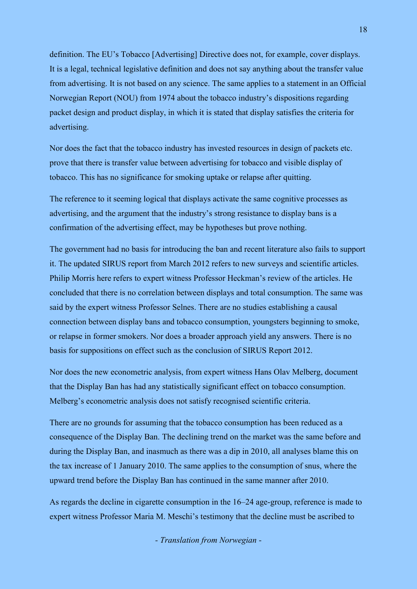definition. The EU's Tobacco [Advertising] Directive does not, for example, cover displays. It is a legal, technical legislative definition and does not say anything about the transfer value from advertising. It is not based on any science. The same applies to a statement in an Official Norwegian Report (NOU) from 1974 about the tobacco industry's dispositions regarding packet design and product display, in which it is stated that display satisfies the criteria for advertising.

Nor does the fact that the tobacco industry has invested resources in design of packets etc. prove that there is transfer value between advertising for tobacco and visible display of tobacco. This has no significance for smoking uptake or relapse after quitting.

The reference to it seeming logical that displays activate the same cognitive processes as advertising, and the argument that the industry's strong resistance to display bans is a confirmation of the advertising effect, may be hypotheses but prove nothing.

The government had no basis for introducing the ban and recent literature also fails to support it. The updated SIRUS report from March 2012 refers to new surveys and scientific articles. Philip Morris here refers to expert witness Professor Heckman's review of the articles. He concluded that there is no correlation between displays and total consumption. The same was said by the expert witness Professor Selnes. There are no studies establishing a causal connection between display bans and tobacco consumption, youngsters beginning to smoke, or relapse in former smokers. Nor does a broader approach yield any answers. There is no basis for suppositions on effect such as the conclusion of SIRUS Report 2012.

Nor does the new econometric analysis, from expert witness Hans Olav Melberg, document that the Display Ban has had any statistically significant effect on tobacco consumption. Melberg's econometric analysis does not satisfy recognised scientific criteria.

There are no grounds for assuming that the tobacco consumption has been reduced as a consequence of the Display Ban. The declining trend on the market was the same before and during the Display Ban, and inasmuch as there was a dip in 2010, all analyses blame this on the tax increase of 1 January 2010. The same applies to the consumption of snus, where the upward trend before the Display Ban has continued in the same manner after 2010.

As regards the decline in cigarette consumption in the 16–24 age-group, reference is made to expert witness Professor Maria M. Meschi's testimony that the decline must be ascribed to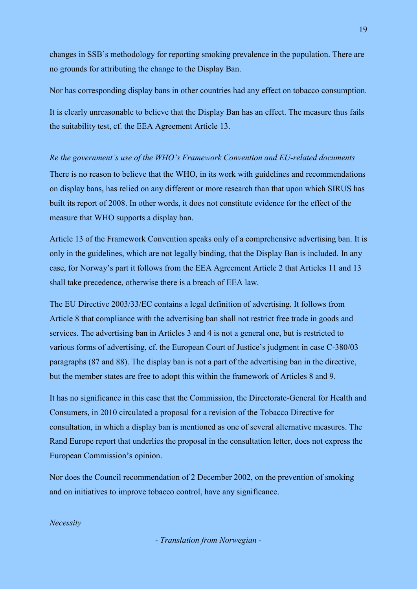changes in SSB's methodology for reporting smoking prevalence in the population. There are no grounds for attributing the change to the Display Ban.

Nor has corresponding display bans in other countries had any effect on tobacco consumption.

It is clearly unreasonable to believe that the Display Ban has an effect. The measure thus fails the suitability test, cf. the EEA Agreement Article 13.

*Re the government's use of the WHO's Framework Convention and EU-related documents* There is no reason to believe that the WHO, in its work with guidelines and recommendations on display bans, has relied on any different or more research than that upon which SIRUS has built its report of 2008. In other words, it does not constitute evidence for the effect of the measure that WHO supports a display ban.

Article 13 of the Framework Convention speaks only of a comprehensive advertising ban. It is only in the guidelines, which are not legally binding, that the Display Ban is included. In any case, for Norway's part it follows from the EEA Agreement Article 2 that Articles 11 and 13 shall take precedence, otherwise there is a breach of EEA law.

The EU Directive 2003/33/EC contains a legal definition of advertising. It follows from Article 8 that compliance with the advertising ban shall not restrict free trade in goods and services. The advertising ban in Articles 3 and 4 is not a general one, but is restricted to various forms of advertising, cf. the European Court of Justice's judgment in case C-380/03 paragraphs (87 and 88). The display ban is not a part of the advertising ban in the directive, but the member states are free to adopt this within the framework of Articles 8 and 9.

It has no significance in this case that the Commission, the Directorate-General for Health and Consumers, in 2010 circulated a proposal for a revision of the Tobacco Directive for consultation, in which a display ban is mentioned as one of several alternative measures. The Rand Europe report that underlies the proposal in the consultation letter, does not express the European Commission's opinion.

Nor does the Council recommendation of 2 December 2002, on the prevention of smoking and on initiatives to improve tobacco control, have any significance.

*Necessity*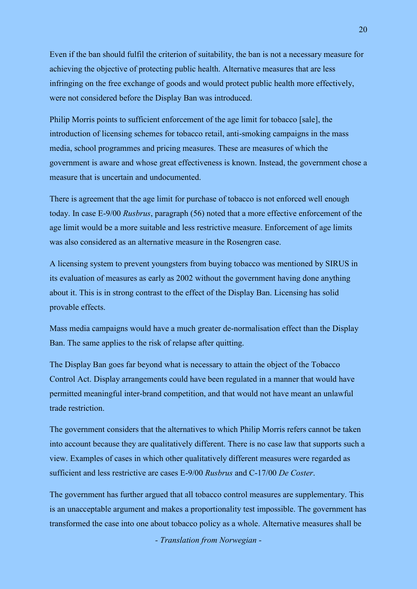Even if the ban should fulfil the criterion of suitability, the ban is not a necessary measure for achieving the objective of protecting public health. Alternative measures that are less infringing on the free exchange of goods and would protect public health more effectively, were not considered before the Display Ban was introduced.

Philip Morris points to sufficient enforcement of the age limit for tobacco [sale], the introduction of licensing schemes for tobacco retail, anti-smoking campaigns in the mass media, school programmes and pricing measures. These are measures of which the government is aware and whose great effectiveness is known. Instead, the government chose a measure that is uncertain and undocumented.

There is agreement that the age limit for purchase of tobacco is not enforced well enough today. In case E-9/00 *Rusbrus*, paragraph (56) noted that a more effective enforcement of the age limit would be a more suitable and less restrictive measure. Enforcement of age limits was also considered as an alternative measure in the Rosengren case.

A licensing system to prevent youngsters from buying tobacco was mentioned by SIRUS in its evaluation of measures as early as 2002 without the government having done anything about it. This is in strong contrast to the effect of the Display Ban. Licensing has solid provable effects.

Mass media campaigns would have a much greater de-normalisation effect than the Display Ban. The same applies to the risk of relapse after quitting.

The Display Ban goes far beyond what is necessary to attain the object of the Tobacco Control Act. Display arrangements could have been regulated in a manner that would have permitted meaningful inter-brand competition, and that would not have meant an unlawful trade restriction.

The government considers that the alternatives to which Philip Morris refers cannot be taken into account because they are qualitatively different. There is no case law that supports such a view. Examples of cases in which other qualitatively different measures were regarded as sufficient and less restrictive are cases E-9/00 *Rusbrus* and C-17/00 *De Coster*.

The government has further argued that all tobacco control measures are supplementary. This is an unacceptable argument and makes a proportionality test impossible. The government has transformed the case into one about tobacco policy as a whole. Alternative measures shall be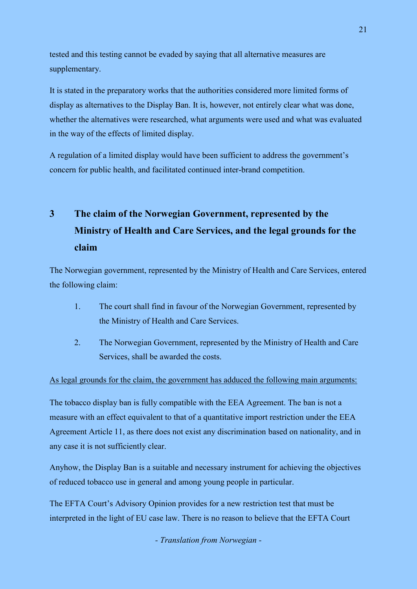tested and this testing cannot be evaded by saying that all alternative measures are supplementary.

It is stated in the preparatory works that the authorities considered more limited forms of display as alternatives to the Display Ban. It is, however, not entirely clear what was done, whether the alternatives were researched, what arguments were used and what was evaluated in the way of the effects of limited display.

A regulation of a limited display would have been sufficient to address the government's concern for public health, and facilitated continued inter-brand competition.

# **3 The claim of the Norwegian Government, represented by the Ministry of Health and Care Services, and the legal grounds for the claim**

The Norwegian government, represented by the Ministry of Health and Care Services, entered the following claim:

- 1. The court shall find in favour of the Norwegian Government, represented by the Ministry of Health and Care Services.
- 2. The Norwegian Government, represented by the Ministry of Health and Care Services, shall be awarded the costs.

# As legal grounds for the claim, the government has adduced the following main arguments:

The tobacco display ban is fully compatible with the EEA Agreement. The ban is not a measure with an effect equivalent to that of a quantitative import restriction under the EEA Agreement Article 11, as there does not exist any discrimination based on nationality, and in any case it is not sufficiently clear.

Anyhow, the Display Ban is a suitable and necessary instrument for achieving the objectives of reduced tobacco use in general and among young people in particular.

The EFTA Court's Advisory Opinion provides for a new restriction test that must be interpreted in the light of EU case law. There is no reason to believe that the EFTA Court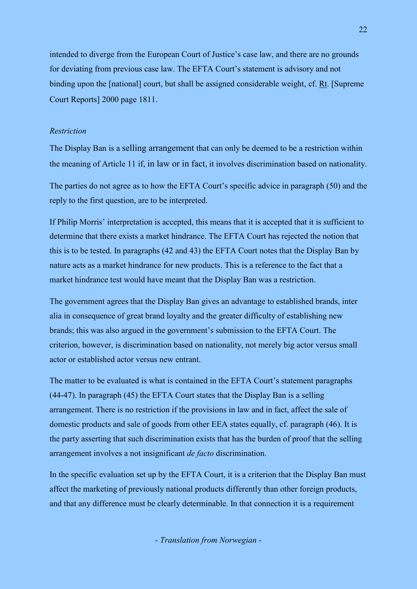intended to diverge from the European Court of Justice's case law, and there are no grounds for deviating from previous case law. The EFTA Court's statement is advisory and not binding upon the [national] court, but shall be assigned considerable weight, cf. Rt. [Supreme] Court Reports 2000 page 1811.

#### *Restriction*

The Display Ban is a selling arrangement that can only be deemed to be a restriction within the meaning of Article 11 if, in law or in fact, it involves discrimination based on nationality.

The parties do not agree as to how the EFTA Court's specific advice in paragraph (50) and the reply to the first question, are to be interpreted.

If Philip Morris' interpretation is accepted, this means that it is accepted that it is sufficient to determine that there exists a market hindrance. The EFTA Court has rejected the notion that this is to be tested. In paragraphs (42 and 43) the EFTA Court notes that the Display Ban by nature acts as a market hindrance for new products. This is a reference to the fact that a market hindrance test would have meant that the Display Ban was a restriction.

The government agrees that the Display Ban gives an advantage to established brands, inter alia in consequence of great brand loyalty and the greater difficulty of establishing new brands; this was also argued in the government's submission to the EFTA Court. The criterion, however, is discrimination based on nationality, not merely big actor versus small actor or established actor versus new entrant.

The matter to be evaluated is what is contained in the EFTA Court's statement paragraphs (44-47). In paragraph (45) the EFTA Court states that the Display Ban is a selling arrangement. There is no restriction if the provisions in law and in fact, affect the sale of domestic products and sale of goods from other EEA states equally, cf. paragraph (46). It is the party asserting that such discrimination exists that has the burden of proof that the selling arrangement involves a not insignificant *de facto* discrimination.

In the specific evaluation set up by the EFTA Court, it is a criterion that the Display Ban must affect the marketing of previously national products differently than other foreign products, and that any difference must be clearly determinable. In that connection it is a requirement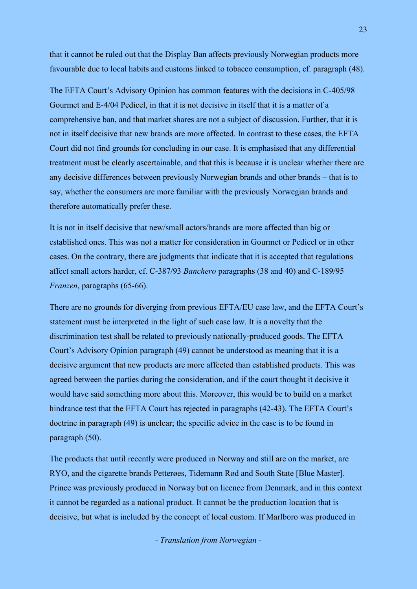that it cannot be ruled out that the Display Ban affects previously Norwegian products more favourable due to local habits and customs linked to tobacco consumption, cf. paragraph (48).

The EFTA Court's Advisory Opinion has common features with the decisions in C-405/98 Gourmet and E-4/04 Pedicel, in that it is not decisive in itself that it is a matter of a comprehensive ban, and that market shares are not a subject of discussion. Further, that it is not in itself decisive that new brands are more affected. In contrast to these cases, the EFTA Court did not find grounds for concluding in our case. It is emphasised that any differential treatment must be clearly ascertainable, and that this is because it is unclear whether there are any decisive differences between previously Norwegian brands and other brands – that is to say, whether the consumers are more familiar with the previously Norwegian brands and therefore automatically prefer these.

It is not in itself decisive that new/small actors/brands are more affected than big or established ones. This was not a matter for consideration in Gourmet or Pedicel or in other cases. On the contrary, there are judgments that indicate that it is accepted that regulations affect small actors harder, cf. C-387/93 *Banchero* paragraphs (38 and 40) and C-189/95 *Franzen*, paragraphs (65-66).

There are no grounds for diverging from previous EFTA/EU case law, and the EFTA Court's statement must be interpreted in the light of such case law. It is a novelty that the discrimination test shall be related to previously nationally-produced goods. The EFTA Court's Advisory Opinion paragraph (49) cannot be understood as meaning that it is a decisive argument that new products are more affected than established products. This was agreed between the parties during the consideration, and if the court thought it decisive it would have said something more about this. Moreover, this would be to build on a market hindrance test that the EFTA Court has rejected in paragraphs (42-43). The EFTA Court's doctrine in paragraph (49) is unclear; the specific advice in the case is to be found in paragraph (50).

The products that until recently were produced in Norway and still are on the market, are RYO, and the cigarette brands Petterøes, Tidemann Rød and South State [Blue Master]. Prince was previously produced in Norway but on licence from Denmark, and in this context it cannot be regarded as a national product. It cannot be the production location that is decisive, but what is included by the concept of local custom. If Marlboro was produced in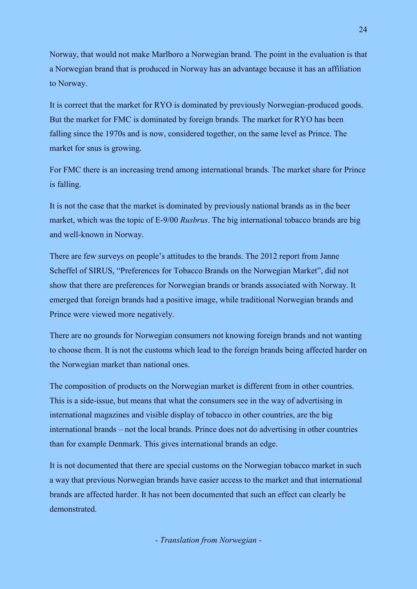Norway, that would not make Marlboro a Norwegian brand. The point in the evaluation is that a Norwegian brand that is produced in Norway has an advantage because it has an affiliation to Norway.

It is correct that the market for RYO is dominated by previously Norwegian-produced goods. But the market for FMC is dominated by foreign brands. The market for RYO has been falling since the 1970s and is now, considered together, on the same level as Prince. The market for snus is growing.

For FMC there is an increasing trend among international brands. The market share for Prince is falling.

It is not the case that the market is dominated by previously national brands as in the beer market, which was the topic of E-9/00 *Rusbrus*. The big international tobacco brands are big and well-known in Norway.

There are few surveys on people's attitudes to the brands. The 2012 report from Janne Scheffel of SIRUS, "Preferences for Tobacco Brands on the Norwegian Market", did not show that there are preferences for Norwegian brands or brands associated with Norway. It emerged that foreign brands had a positive image, while traditional Norwegian brands and Prince were viewed more negatively.

There are no grounds for Norwegian consumers not knowing foreign brands and not wanting to choose them. It is not the customs which lead to the foreign brands being affected harder on the Norwegian market than national ones.

The composition of products on the Norwegian market is different from in other countries. This is a side-issue, but means that what the consumers see in the way of advertising in international magazines and visible display of tobacco in other countries, are the big international brands – not the local brands. Prince does not do advertising in other countries than for example Denmark. This gives international brands an edge.

It is not documented that there are special customs on the Norwegian tobacco market in such a way that previous Norwegian brands have easier access to the market and that international brands are affected harder. It has not been documented that such an effect can clearly be demonstrated.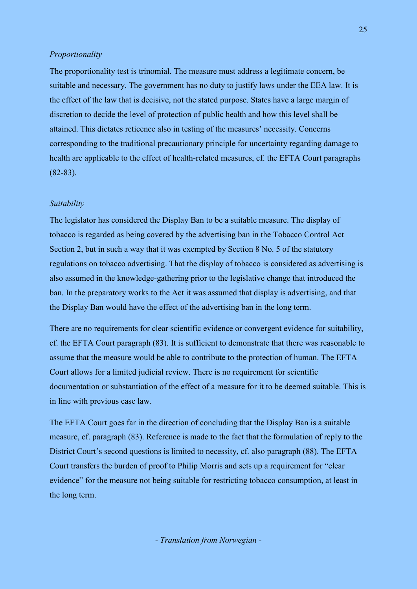#### *Proportionality*

The proportionality test is trinomial. The measure must address a legitimate concern, be suitable and necessary. The government has no duty to justify laws under the EEA law. It is the effect of the law that is decisive, not the stated purpose. States have a large margin of discretion to decide the level of protection of public health and how this level shall be attained. This dictates reticence also in testing of the measures' necessity. Concerns corresponding to the traditional precautionary principle for uncertainty regarding damage to health are applicable to the effect of health-related measures, cf. the EFTA Court paragraphs (82-83).

### *Suitability*

The legislator has considered the Display Ban to be a suitable measure. The display of tobacco is regarded as being covered by the advertising ban in the Tobacco Control Act Section 2, but in such a way that it was exempted by Section 8 No. 5 of the statutory regulations on tobacco advertising. That the display of tobacco is considered as advertising is also assumed in the knowledge-gathering prior to the legislative change that introduced the ban. In the preparatory works to the Act it was assumed that display is advertising, and that the Display Ban would have the effect of the advertising ban in the long term.

There are no requirements for clear scientific evidence or convergent evidence for suitability, cf. the EFTA Court paragraph (83). It is sufficient to demonstrate that there was reasonable to assume that the measure would be able to contribute to the protection of human. The EFTA Court allows for a limited judicial review. There is no requirement for scientific documentation or substantiation of the effect of a measure for it to be deemed suitable. This is in line with previous case law.

The EFTA Court goes far in the direction of concluding that the Display Ban is a suitable measure, cf. paragraph (83). Reference is made to the fact that the formulation of reply to the District Court's second questions is limited to necessity, cf. also paragraph (88). The EFTA Court transfers the burden of proof to Philip Morris and sets up a requirement for "clear evidence" for the measure not being suitable for restricting tobacco consumption, at least in the long term.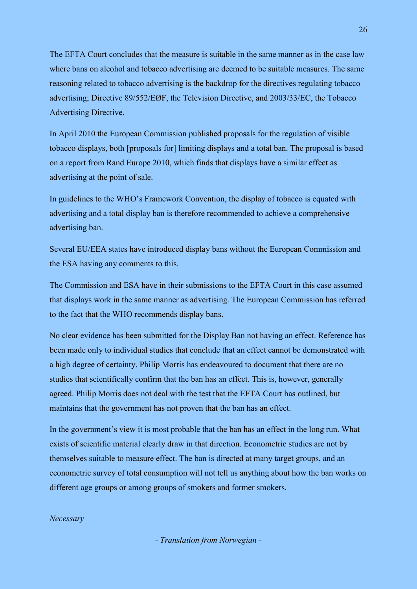The EFTA Court concludes that the measure is suitable in the same manner as in the case law where bans on alcohol and tobacco advertising are deemed to be suitable measures. The same reasoning related to tobacco advertising is the backdrop for the directives regulating tobacco advertising; Directive 89/552/EØF, the Television Directive, and 2003/33/EC, the Tobacco Advertising Directive.

In April 2010 the European Commission published proposals for the regulation of visible tobacco displays, both [proposals for] limiting displays and a total ban. The proposal is based on a report from Rand Europe 2010, which finds that displays have a similar effect as advertising at the point of sale.

In guidelines to the WHO's Framework Convention, the display of tobacco is equated with advertising and a total display ban is therefore recommended to achieve a comprehensive advertising ban.

Several EU/EEA states have introduced display bans without the European Commission and the ESA having any comments to this.

The Commission and ESA have in their submissions to the EFTA Court in this case assumed that displays work in the same manner as advertising. The European Commission has referred to the fact that the WHO recommends display bans.

No clear evidence has been submitted for the Display Ban not having an effect. Reference has been made only to individual studies that conclude that an effect cannot be demonstrated with a high degree of certainty. Philip Morris has endeavoured to document that there are no studies that scientifically confirm that the ban has an effect. This is, however, generally agreed. Philip Morris does not deal with the test that the EFTA Court has outlined, but maintains that the government has not proven that the ban has an effect.

In the government's view it is most probable that the ban has an effect in the long run. What exists of scientific material clearly draw in that direction. Econometric studies are not by themselves suitable to measure effect. The ban is directed at many target groups, and an econometric survey of total consumption will not tell us anything about how the ban works on different age groups or among groups of smokers and former smokers.

## *Necessary*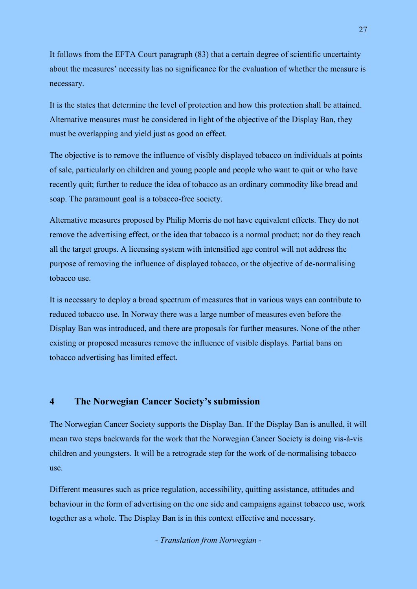It follows from the EFTA Court paragraph (83) that a certain degree of scientific uncertainty about the measures' necessity has no significance for the evaluation of whether the measure is necessary.

It is the states that determine the level of protection and how this protection shall be attained. Alternative measures must be considered in light of the objective of the Display Ban, they must be overlapping and yield just as good an effect.

The objective is to remove the influence of visibly displayed tobacco on individuals at points of sale, particularly on children and young people and people who want to quit or who have recently quit; further to reduce the idea of tobacco as an ordinary commodity like bread and soap. The paramount goal is a tobacco-free society.

Alternative measures proposed by Philip Morris do not have equivalent effects. They do not remove the advertising effect, or the idea that tobacco is a normal product; nor do they reach all the target groups. A licensing system with intensified age control will not address the purpose of removing the influence of displayed tobacco, or the objective of de-normalising tobacco use.

It is necessary to deploy a broad spectrum of measures that in various ways can contribute to reduced tobacco use. In Norway there was a large number of measures even before the Display Ban was introduced, and there are proposals for further measures. None of the other existing or proposed measures remove the influence of visible displays. Partial bans on tobacco advertising has limited effect.

# **4 The Norwegian Cancer Society's submission**

The Norwegian Cancer Society supports the Display Ban. If the Display Ban is anulled, it will mean two steps backwards for the work that the Norwegian Cancer Society is doing vis-à-vis children and youngsters. It will be a retrograde step for the work of de-normalising tobacco use.

Different measures such as price regulation, accessibility, quitting assistance, attitudes and behaviour in the form of advertising on the one side and campaigns against tobacco use, work together as a whole. The Display Ban is in this context effective and necessary.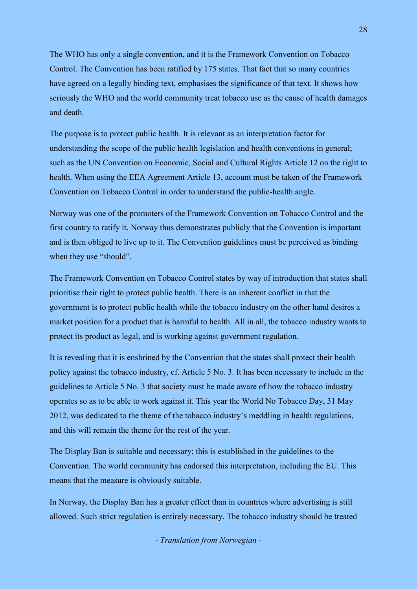The WHO has only a single convention, and it is the Framework Convention on Tobacco Control. The Convention has been ratified by 175 states. That fact that so many countries have agreed on a legally binding text, emphasises the significance of that text. It shows how seriously the WHO and the world community treat tobacco use as the cause of health damages and death.

The purpose is to protect public health. It is relevant as an interpretation factor for understanding the scope of the public health legislation and health conventions in general; such as the UN Convention on Economic, Social and Cultural Rights Article 12 on the right to health. When using the EEA Agreement Article 13, account must be taken of the Framework Convention on Tobacco Control in order to understand the public-health angle.

Norway was one of the promoters of the Framework Convention on Tobacco Control and the first country to ratify it. Norway thus demonstrates publicly that the Convention is important and is then obliged to live up to it. The Convention guidelines must be perceived as binding when they use "should".

The Framework Convention on Tobacco Control states by way of introduction that states shall prioritise their right to protect public health. There is an inherent conflict in that the government is to protect public health while the tobacco industry on the other hand desires a market position for a product that is harmful to health. All in all, the tobacco industry wants to protect its product as legal, and is working against government regulation.

It is revealing that it is enshrined by the Convention that the states shall protect their health policy against the tobacco industry, cf. Article 5 No. 3. It has been necessary to include in the guidelines to Article 5 No. 3 that society must be made aware of how the tobacco industry operates so as to be able to work against it. This year the World No Tobacco Day, 31 May 2012, was dedicated to the theme of the tobacco industry's meddling in health regulations, and this will remain the theme for the rest of the year.

The Display Ban is suitable and necessary; this is established in the guidelines to the Convention. The world community has endorsed this interpretation, including the EU. This means that the measure is obviously suitable.

In Norway, the Display Ban has a greater effect than in countries where advertising is still allowed. Such strict regulation is entirely necessary. The tobacco industry should be treated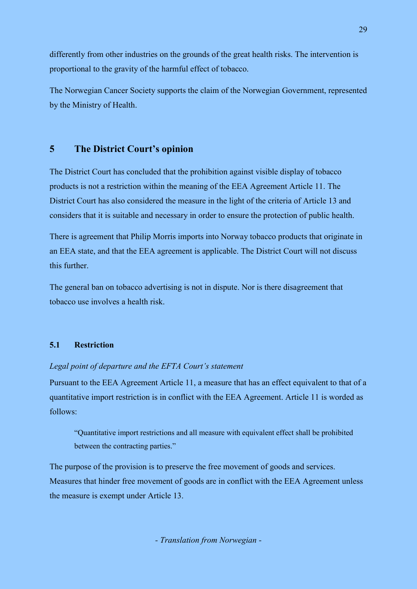differently from other industries on the grounds of the great health risks. The intervention is proportional to the gravity of the harmful effect of tobacco.

The Norwegian Cancer Society supports the claim of the Norwegian Government, represented by the Ministry of Health.

# **5 The District Court's opinion**

The District Court has concluded that the prohibition against visible display of tobacco products is not a restriction within the meaning of the EEA Agreement Article 11. The District Court has also considered the measure in the light of the criteria of Article 13 and considers that it is suitable and necessary in order to ensure the protection of public health.

There is agreement that Philip Morris imports into Norway tobacco products that originate in an EEA state, and that the EEA agreement is applicable. The District Court will not discuss this further.

The general ban on tobacco advertising is not in dispute. Nor is there disagreement that tobacco use involves a health risk.

# **5.1 Restriction**

## *Legal point of departure and the EFTA Court's statement*

Pursuant to the EEA Agreement Article 11, a measure that has an effect equivalent to that of a quantitative import restriction is in conflict with the EEA Agreement. Article 11 is worded as follows:

"Quantitative import restrictions and all measure with equivalent effect shall be prohibited between the contracting parties."

The purpose of the provision is to preserve the free movement of goods and services. Measures that hinder free movement of goods are in conflict with the EEA Agreement unless the measure is exempt under Article 13.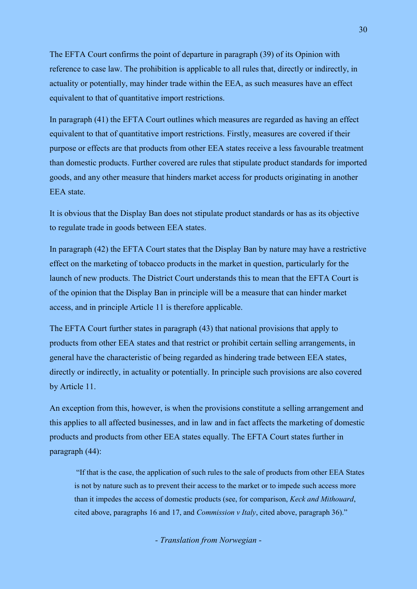The EFTA Court confirms the point of departure in paragraph (39) of its Opinion with reference to case law. The prohibition is applicable to all rules that, directly or indirectly, in actuality or potentially, may hinder trade within the EEA, as such measures have an effect equivalent to that of quantitative import restrictions.

In paragraph (41) the EFTA Court outlines which measures are regarded as having an effect equivalent to that of quantitative import restrictions. Firstly, measures are covered if their purpose or effects are that products from other EEA states receive a less favourable treatment than domestic products. Further covered are rules that stipulate product standards for imported goods, and any other measure that hinders market access for products originating in another EEA state.

It is obvious that the Display Ban does not stipulate product standards or has as its objective to regulate trade in goods between EEA states.

In paragraph (42) the EFTA Court states that the Display Ban by nature may have a restrictive effect on the marketing of tobacco products in the market in question, particularly for the launch of new products. The District Court understands this to mean that the EFTA Court is of the opinion that the Display Ban in principle will be a measure that can hinder market access, and in principle Article 11 is therefore applicable.

The EFTA Court further states in paragraph (43) that national provisions that apply to products from other EEA states and that restrict or prohibit certain selling arrangements, in general have the characteristic of being regarded as hindering trade between EEA states, directly or indirectly, in actuality or potentially. In principle such provisions are also covered by Article 11.

An exception from this, however, is when the provisions constitute a selling arrangement and this applies to all affected businesses, and in law and in fact affects the marketing of domestic products and products from other EEA states equally. The EFTA Court states further in paragraph (44):

"If that is the case, the application of such rules to the sale of products from other EEA States is not by nature such as to prevent their access to the market or to impede such access more than it impedes the access of domestic products (see, for comparison, *Keck and Mithouard*, cited above, paragraphs 16 and 17, and *Commission v Italy*, cited above, paragraph 36)."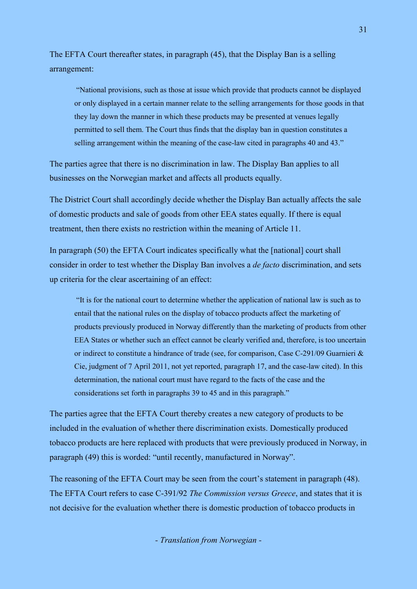The EFTA Court thereafter states, in paragraph (45), that the Display Ban is a selling arrangement:

"National provisions, such as those at issue which provide that products cannot be displayed or only displayed in a certain manner relate to the selling arrangements for those goods in that they lay down the manner in which these products may be presented at venues legally permitted to sell them. The Court thus finds that the display ban in question constitutes a selling arrangement within the meaning of the case-law cited in paragraphs 40 and 43."

The parties agree that there is no discrimination in law. The Display Ban applies to all businesses on the Norwegian market and affects all products equally.

The District Court shall accordingly decide whether the Display Ban actually affects the sale of domestic products and sale of goods from other EEA states equally. If there is equal treatment, then there exists no restriction within the meaning of Article 11.

In paragraph (50) the EFTA Court indicates specifically what the [national] court shall consider in order to test whether the Display Ban involves a *de facto* discrimination, and sets up criteria for the clear ascertaining of an effect:

"It is for the national court to determine whether the application of national law is such as to entail that the national rules on the display of tobacco products affect the marketing of products previously produced in Norway differently than the marketing of products from other EEA States or whether such an effect cannot be clearly verified and, therefore, is too uncertain or indirect to constitute a hindrance of trade (see, for comparison, Case C-291/09 Guarnieri & Cie, judgment of 7 April 2011, not yet reported, paragraph 17, and the case-law cited). In this determination, the national court must have regard to the facts of the case and the considerations set forth in paragraphs 39 to 45 and in this paragraph."

The parties agree that the EFTA Court thereby creates a new category of products to be included in the evaluation of whether there discrimination exists. Domestically produced tobacco products are here replaced with products that were previously produced in Norway, in paragraph (49) this is worded: "until recently, manufactured in Norway".

The reasoning of the EFTA Court may be seen from the court's statement in paragraph (48). The EFTA Court refers to case C-391/92 *The Commission versus Greece*, and states that it is not decisive for the evaluation whether there is domestic production of tobacco products in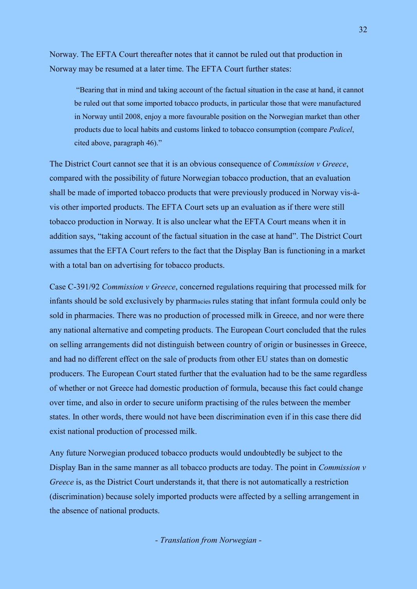Norway. The EFTA Court thereafter notes that it cannot be ruled out that production in Norway may be resumed at a later time. The EFTA Court further states:

"Bearing that in mind and taking account of the factual situation in the case at hand, it cannot be ruled out that some imported tobacco products, in particular those that were manufactured in Norway until 2008, enjoy a more favourable position on the Norwegian market than other products due to local habits and customs linked to tobacco consumption (compare *Pedicel*, cited above, paragraph 46)."

The District Court cannot see that it is an obvious consequence of *Commission v Greece*, compared with the possibility of future Norwegian tobacco production, that an evaluation shall be made of imported tobacco products that were previously produced in Norway vis-àvis other imported products. The EFTA Court sets up an evaluation as if there were still tobacco production in Norway. It is also unclear what the EFTA Court means when it in addition says, "taking account of the factual situation in the case at hand". The District Court assumes that the EFTA Court refers to the fact that the Display Ban is functioning in a market with a total ban on advertising for tobacco products.

Case C-391/92 *Commission v Greece*, concerned regulations requiring that processed milk for infants should be sold exclusively by pharmacies rules stating that infant formula could only be sold in pharmacies. There was no production of processed milk in Greece, and nor were there any national alternative and competing products. The European Court concluded that the rules on selling arrangements did not distinguish between country of origin or businesses in Greece, and had no different effect on the sale of products from other EU states than on domestic producers. The European Court stated further that the evaluation had to be the same regardless of whether or not Greece had domestic production of formula, because this fact could change over time, and also in order to secure uniform practising of the rules between the member states. In other words, there would not have been discrimination even if in this case there did exist national production of processed milk.

Any future Norwegian produced tobacco products would undoubtedly be subject to the Display Ban in the same manner as all tobacco products are today. The point in *Commission v Greece* is, as the District Court understands it, that there is not automatically a restriction (discrimination) because solely imported products were affected by a selling arrangement in the absence of national products.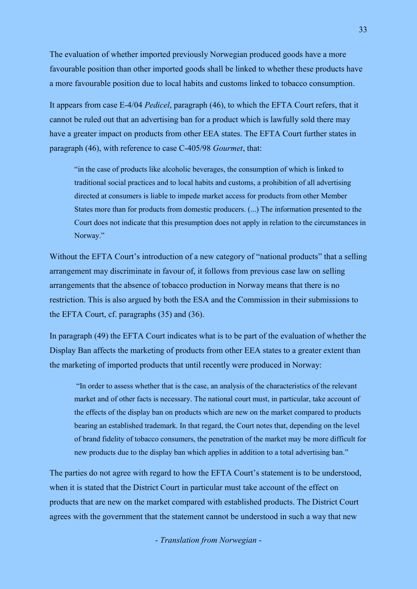The evaluation of whether imported previously Norwegian produced goods have a more favourable position than other imported goods shall be linked to whether these products have a more favourable position due to local habits and customs linked to tobacco consumption.

It appears from case E-4/04 *Pedicel*, paragraph (46), to which the EFTA Court refers, that it cannot be ruled out that an advertising ban for a product which is lawfully sold there may have a greater impact on products from other EEA states. The EFTA Court further states in paragraph (46), with reference to case C-405/98 *Gourmet*, that:

"in the case of products like alcoholic beverages, the consumption of which is linked to traditional social practices and to local habits and customs, a prohibition of all advertising directed at consumers is liable to impede market access for products from other Member States more than for products from domestic producers. (...) The information presented to the Court does not indicate that this presumption does not apply in relation to the circumstances in Norway."

Without the EFTA Court's introduction of a new category of "national products" that a selling arrangement may discriminate in favour of, it follows from previous case law on selling arrangements that the absence of tobacco production in Norway means that there is no restriction. This is also argued by both the ESA and the Commission in their submissions to the EFTA Court, cf. paragraphs (35) and (36).

In paragraph (49) the EFTA Court indicates what is to be part of the evaluation of whether the Display Ban affects the marketing of products from other EEA states to a greater extent than the marketing of imported products that until recently were produced in Norway:

"In order to assess whether that is the case, an analysis of the characteristics of the relevant market and of other facts is necessary. The national court must, in particular, take account of the effects of the display ban on products which are new on the market compared to products bearing an established trademark. In that regard, the Court notes that, depending on the level of brand fidelity of tobacco consumers, the penetration of the market may be more difficult for new products due to the display ban which applies in addition to a total advertising ban."

The parties do not agree with regard to how the EFTA Court's statement is to be understood, when it is stated that the District Court in particular must take account of the effect on products that are new on the market compared with established products. The District Court agrees with the government that the statement cannot be understood in such a way that new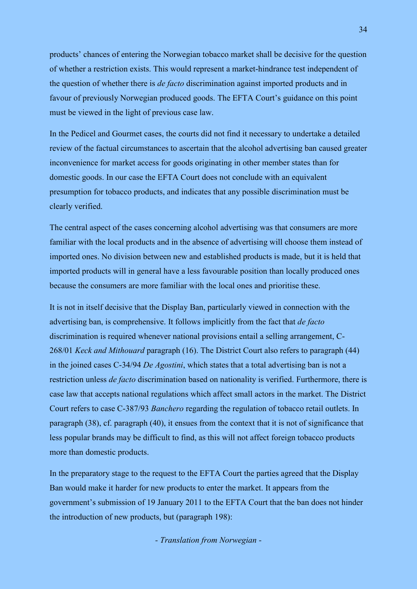products' chances of entering the Norwegian tobacco market shall be decisive for the question of whether a restriction exists. This would represent a market-hindrance test independent of the question of whether there is *de facto* discrimination against imported products and in favour of previously Norwegian produced goods. The EFTA Court's guidance on this point must be viewed in the light of previous case law.

In the Pedicel and Gourmet cases, the courts did not find it necessary to undertake a detailed review of the factual circumstances to ascertain that the alcohol advertising ban caused greater inconvenience for market access for goods originating in other member states than for domestic goods. In our case the EFTA Court does not conclude with an equivalent presumption for tobacco products, and indicates that any possible discrimination must be clearly verified.

The central aspect of the cases concerning alcohol advertising was that consumers are more familiar with the local products and in the absence of advertising will choose them instead of imported ones. No division between new and established products is made, but it is held that imported products will in general have a less favourable position than locally produced ones because the consumers are more familiar with the local ones and prioritise these.

It is not in itself decisive that the Display Ban, particularly viewed in connection with the advertising ban, is comprehensive. It follows implicitly from the fact that *de facto* discrimination is required whenever national provisions entail a selling arrangement, C-268/01 *Keck and Mithouard* paragraph (16). The District Court also refers to paragraph (44) in the joined cases C-34/94 *De Agostini*, which states that a total advertising ban is not a restriction unless *de facto* discrimination based on nationality is verified. Furthermore, there is case law that accepts national regulations which affect small actors in the market. The District Court refers to case C-387/93 *Banchero* regarding the regulation of tobacco retail outlets. In paragraph (38), cf. paragraph (40), it ensues from the context that it is not of significance that less popular brands may be difficult to find, as this will not affect foreign tobacco products more than domestic products.

In the preparatory stage to the request to the EFTA Court the parties agreed that the Display Ban would make it harder for new products to enter the market. It appears from the government's submission of 19 January 2011 to the EFTA Court that the ban does not hinder the introduction of new products, but (paragraph 198):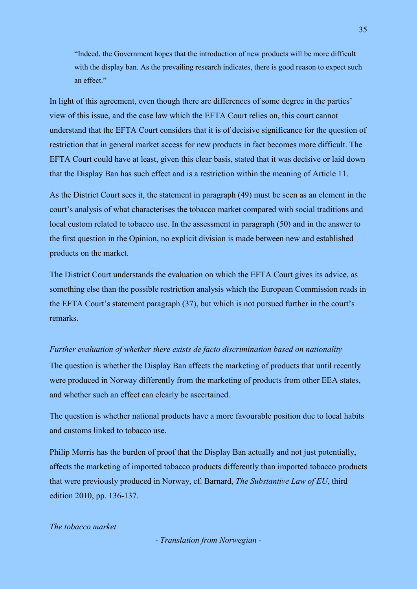"Indeed, the Government hopes that the introduction of new products will be more difficult with the display ban. As the prevailing research indicates, there is good reason to expect such an effect."

In light of this agreement, even though there are differences of some degree in the parties' view of this issue, and the case law which the EFTA Court relies on, this court cannot understand that the EFTA Court considers that it is of decisive significance for the question of restriction that in general market access for new products in fact becomes more difficult. The EFTA Court could have at least, given this clear basis, stated that it was decisive or laid down that the Display Ban has such effect and is a restriction within the meaning of Article 11.

As the District Court sees it, the statement in paragraph (49) must be seen as an element in the court's analysis of what characterises the tobacco market compared with social traditions and local custom related to tobacco use. In the assessment in paragraph (50) and in the answer to the first question in the Opinion, no explicit division is made between new and established products on the market.

The District Court understands the evaluation on which the EFTA Court gives its advice, as something else than the possible restriction analysis which the European Commission reads in the EFTA Court's statement paragraph (37), but which is not pursued further in the court's remarks.

#### *Further evaluation of whether there exists de facto discrimination based on nationality*

The question is whether the Display Ban affects the marketing of products that until recently were produced in Norway differently from the marketing of products from other EEA states, and whether such an effect can clearly be ascertained.

The question is whether national products have a more favourable position due to local habits and customs linked to tobacco use.

Philip Morris has the burden of proof that the Display Ban actually and not just potentially, affects the marketing of imported tobacco products differently than imported tobacco products that were previously produced in Norway, cf. Barnard, *The Substantive Law of EU*, third edition 2010, pp. 136-137.

## *The tobacco market*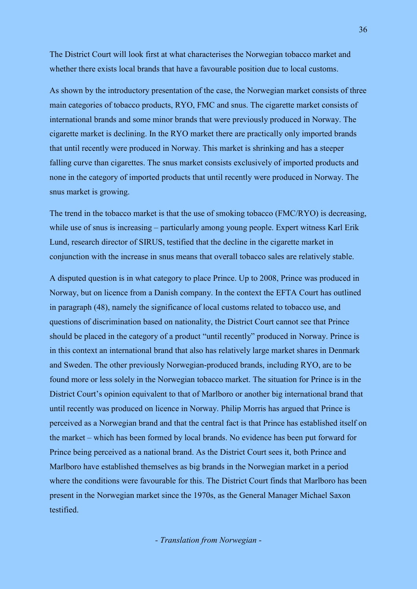The District Court will look first at what characterises the Norwegian tobacco market and whether there exists local brands that have a favourable position due to local customs.

As shown by the introductory presentation of the case, the Norwegian market consists of three main categories of tobacco products, RYO, FMC and snus. The cigarette market consists of international brands and some minor brands that were previously produced in Norway. The cigarette market is declining. In the RYO market there are practically only imported brands that until recently were produced in Norway. This market is shrinking and has a steeper falling curve than cigarettes. The snus market consists exclusively of imported products and none in the category of imported products that until recently were produced in Norway. The snus market is growing.

The trend in the tobacco market is that the use of smoking tobacco (FMC/RYO) is decreasing, while use of snus is increasing – particularly among young people. Expert witness Karl Erik Lund, research director of SIRUS, testified that the decline in the cigarette market in conjunction with the increase in snus means that overall tobacco sales are relatively stable.

A disputed question is in what category to place Prince. Up to 2008, Prince was produced in Norway, but on licence from a Danish company. In the context the EFTA Court has outlined in paragraph (48), namely the significance of local customs related to tobacco use, and questions of discrimination based on nationality, the District Court cannot see that Prince should be placed in the category of a product "until recently" produced in Norway. Prince is in this context an international brand that also has relatively large market shares in Denmark and Sweden. The other previously Norwegian-produced brands, including RYO, are to be found more or less solely in the Norwegian tobacco market. The situation for Prince is in the District Court's opinion equivalent to that of Marlboro or another big international brand that until recently was produced on licence in Norway. Philip Morris has argued that Prince is perceived as a Norwegian brand and that the central fact is that Prince has established itself on the market – which has been formed by local brands. No evidence has been put forward for Prince being perceived as a national brand. As the District Court sees it, both Prince and Marlboro have established themselves as big brands in the Norwegian market in a period where the conditions were favourable for this. The District Court finds that Marlboro has been present in the Norwegian market since the 1970s, as the General Manager Michael Saxon testified.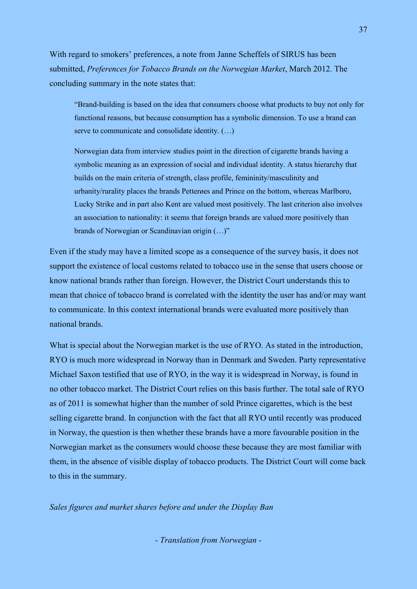With regard to smokers' preferences, a note from Janne Scheffels of SIRUS has been submitted, *Preferences for Tobacco Brands on the Norwegian Market*, March 2012. The concluding summary in the note states that:

"Brand-building is based on the idea that consumers choose what products to buy not only for functional reasons, but because consumption has a symbolic dimension. To use a brand can serve to communicate and consolidate identity. (…)

Norwegian data from interview studies point in the direction of cigarette brands having a symbolic meaning as an expression of social and individual identity. A status hierarchy that builds on the main criteria of strength, class profile, femininity/masculinity and urbanity/rurality places the brands Petterøes and Prince on the bottom, whereas Marlboro, Lucky Strike and in part also Kent are valued most positively. The last criterion also involves an association to nationality: it seems that foreign brands are valued more positively than brands of Norwegian or Scandinavian origin (…)"

Even if the study may have a limited scope as a consequence of the survey basis, it does not support the existence of local customs related to tobacco use in the sense that users choose or know national brands rather than foreign. However, the District Court understands this to mean that choice of tobacco brand is correlated with the identity the user has and/or may want to communicate. In this context international brands were evaluated more positively than national brands.

What is special about the Norwegian market is the use of RYO. As stated in the introduction, RYO is much more widespread in Norway than in Denmark and Sweden. Party representative Michael Saxon testified that use of RYO, in the way it is widespread in Norway, is found in no other tobacco market. The District Court relies on this basis further. The total sale of RYO as of 2011 is somewhat higher than the number of sold Prince cigarettes, which is the best selling cigarette brand. In conjunction with the fact that all RYO until recently was produced in Norway, the question is then whether these brands have a more favourable position in the Norwegian market as the consumers would choose these because they are most familiar with them, in the absence of visible display of tobacco products. The District Court will come back to this in the summary.

*Sales figures and market shares before and under the Display Ban*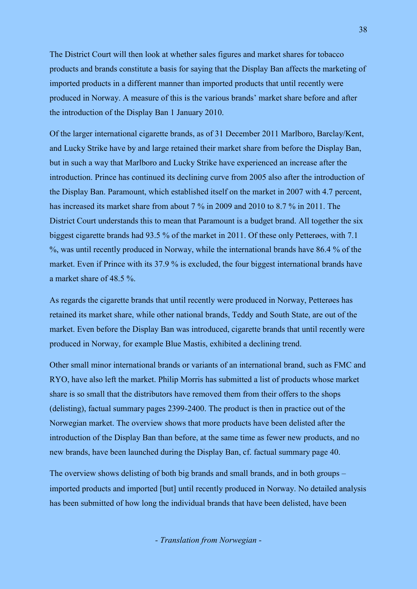The District Court will then look at whether sales figures and market shares for tobacco products and brands constitute a basis for saying that the Display Ban affects the marketing of imported products in a different manner than imported products that until recently were produced in Norway. A measure of this is the various brands' market share before and after the introduction of the Display Ban 1 January 2010.

Of the larger international cigarette brands, as of 31 December 2011 Marlboro, Barclay/Kent, and Lucky Strike have by and large retained their market share from before the Display Ban, but in such a way that Marlboro and Lucky Strike have experienced an increase after the introduction. Prince has continued its declining curve from 2005 also after the introduction of the Display Ban. Paramount, which established itself on the market in 2007 with 4.7 percent, has increased its market share from about 7 % in 2009 and 2010 to 8.7 % in 2011. The District Court understands this to mean that Paramount is a budget brand. All together the six biggest cigarette brands had 93.5 % of the market in 2011. Of these only Petterøes, with 7.1 %, was until recently produced in Norway, while the international brands have 86.4 % of the market. Even if Prince with its 37.9 % is excluded, the four biggest international brands have a market share of 48.5 %.

As regards the cigarette brands that until recently were produced in Norway, Petterøes has retained its market share, while other national brands, Teddy and South State, are out of the market. Even before the Display Ban was introduced, cigarette brands that until recently were produced in Norway, for example Blue Mastis, exhibited a declining trend.

Other small minor international brands or variants of an international brand, such as FMC and RYO, have also left the market. Philip Morris has submitted a list of products whose market share is so small that the distributors have removed them from their offers to the shops (delisting), factual summary pages 2399-2400. The product is then in practice out of the Norwegian market. The overview shows that more products have been delisted after the introduction of the Display Ban than before, at the same time as fewer new products, and no new brands, have been launched during the Display Ban, cf. factual summary page 40.

The overview shows delisting of both big brands and small brands, and in both groups – imported products and imported [but] until recently produced in Norway. No detailed analysis has been submitted of how long the individual brands that have been delisted, have been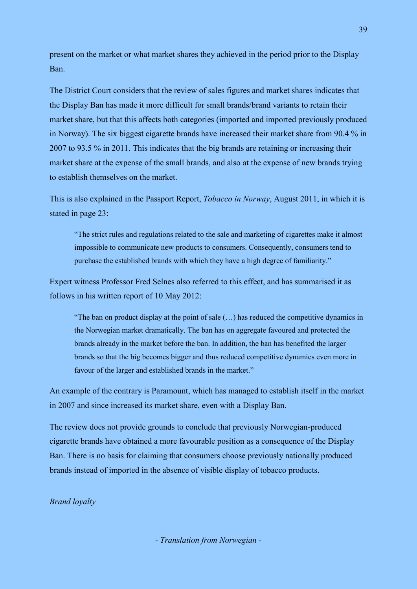present on the market or what market shares they achieved in the period prior to the Display Ban.

The District Court considers that the review of sales figures and market shares indicates that the Display Ban has made it more difficult for small brands/brand variants to retain their market share, but that this affects both categories (imported and imported previously produced in Norway). The six biggest cigarette brands have increased their market share from 90.4 % in 2007 to 93.5 % in 2011. This indicates that the big brands are retaining or increasing their market share at the expense of the small brands, and also at the expense of new brands trying to establish themselves on the market.

This is also explained in the Passport Report, *Tobacco in Norway*, August 2011, in which it is stated in page 23:

"The strict rules and regulations related to the sale and marketing of cigarettes make it almost impossible to communicate new products to consumers. Consequently, consumers tend to purchase the established brands with which they have a high degree of familiarity."

Expert witness Professor Fred Selnes also referred to this effect, and has summarised it as follows in his written report of 10 May 2012:

"The ban on product display at the point of sale (…) has reduced the competitive dynamics in the Norwegian market dramatically. The ban has on aggregate favoured and protected the brands already in the market before the ban. In addition, the ban has benefited the larger brands so that the big becomes bigger and thus reduced competitive dynamics even more in favour of the larger and established brands in the market."

An example of the contrary is Paramount, which has managed to establish itself in the market in 2007 and since increased its market share, even with a Display Ban.

The review does not provide grounds to conclude that previously Norwegian-produced cigarette brands have obtained a more favourable position as a consequence of the Display Ban. There is no basis for claiming that consumers choose previously nationally produced brands instead of imported in the absence of visible display of tobacco products.

# *Brand loyalty*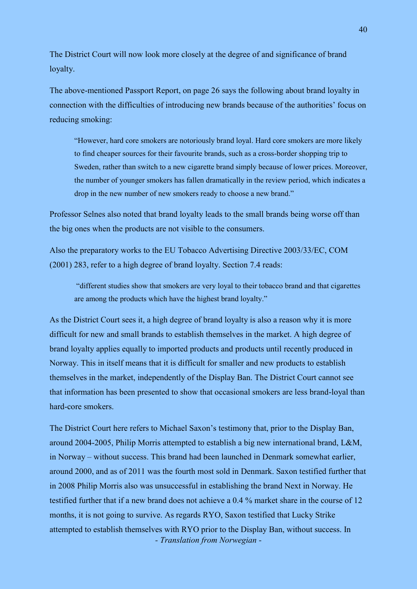The District Court will now look more closely at the degree of and significance of brand loyalty.

The above-mentioned Passport Report, on page 26 says the following about brand loyalty in connection with the difficulties of introducing new brands because of the authorities' focus on reducing smoking:

"However, hard core smokers are notoriously brand loyal. Hard core smokers are more likely to find cheaper sources for their favourite brands, such as a cross-border shopping trip to Sweden, rather than switch to a new cigarette brand simply because of lower prices. Moreover, the number of younger smokers has fallen dramatically in the review period, which indicates a drop in the new number of new smokers ready to choose a new brand."

Professor Selnes also noted that brand loyalty leads to the small brands being worse off than the big ones when the products are not visible to the consumers.

Also the preparatory works to the EU Tobacco Advertising Directive 2003/33/EC, COM (2001) 283, refer to a high degree of brand loyalty. Section 7.4 reads:

"different studies show that smokers are very loyal to their tobacco brand and that cigarettes are among the products which have the highest brand loyalty."

As the District Court sees it, a high degree of brand loyalty is also a reason why it is more difficult for new and small brands to establish themselves in the market. A high degree of brand loyalty applies equally to imported products and products until recently produced in Norway. This in itself means that it is difficult for smaller and new products to establish themselves in the market, independently of the Display Ban. The District Court cannot see that information has been presented to show that occasional smokers are less brand-loyal than hard-core smokers.

*- Translation from Norwegian -* The District Court here refers to Michael Saxon's testimony that, prior to the Display Ban, around 2004-2005, Philip Morris attempted to establish a big new international brand, L&M, in Norway – without success. This brand had been launched in Denmark somewhat earlier, around 2000, and as of 2011 was the fourth most sold in Denmark. Saxon testified further that in 2008 Philip Morris also was unsuccessful in establishing the brand Next in Norway. He testified further that if a new brand does not achieve a 0.4 % market share in the course of 12 months, it is not going to survive. As regards RYO, Saxon testified that Lucky Strike attempted to establish themselves with RYO prior to the Display Ban, without success. In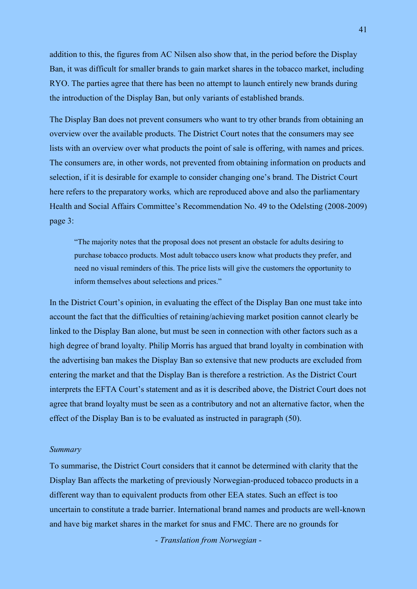addition to this, the figures from AC Nilsen also show that, in the period before the Display Ban, it was difficult for smaller brands to gain market shares in the tobacco market, including RYO. The parties agree that there has been no attempt to launch entirely new brands during the introduction of the Display Ban, but only variants of established brands.

The Display Ban does not prevent consumers who want to try other brands from obtaining an overview over the available products. The District Court notes that the consumers may see lists with an overview over what products the point of sale is offering, with names and prices. The consumers are, in other words, not prevented from obtaining information on products and selection, if it is desirable for example to consider changing one's brand. The District Court here refers to the preparatory works*,* which are reproduced above and also the parliamentary Health and Social Affairs Committee's Recommendation No. 49 to the Odelsting (2008-2009) page 3:

"The majority notes that the proposal does not present an obstacle for adults desiring to purchase tobacco products. Most adult tobacco users know what products they prefer, and need no visual reminders of this. The price lists will give the customers the opportunity to inform themselves about selections and prices."

In the District Court's opinion, in evaluating the effect of the Display Ban one must take into account the fact that the difficulties of retaining/achieving market position cannot clearly be linked to the Display Ban alone, but must be seen in connection with other factors such as a high degree of brand loyalty. Philip Morris has argued that brand loyalty in combination with the advertising ban makes the Display Ban so extensive that new products are excluded from entering the market and that the Display Ban is therefore a restriction. As the District Court interprets the EFTA Court's statement and as it is described above, the District Court does not agree that brand loyalty must be seen as a contributory and not an alternative factor, when the effect of the Display Ban is to be evaluated as instructed in paragraph (50).

#### *Summary*

To summarise, the District Court considers that it cannot be determined with clarity that the Display Ban affects the marketing of previously Norwegian-produced tobacco products in a different way than to equivalent products from other EEA states. Such an effect is too uncertain to constitute a trade barrier. International brand names and products are well-known and have big market shares in the market for snus and FMC. There are no grounds for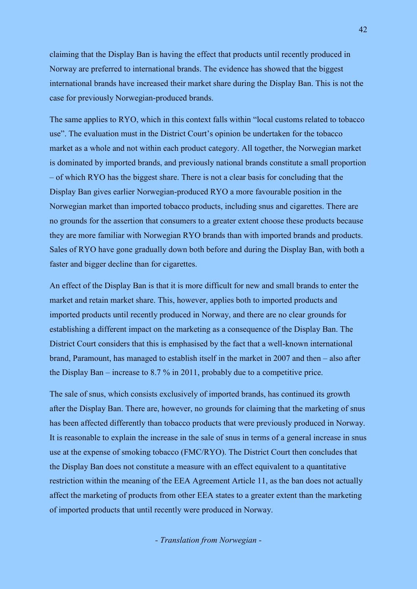claiming that the Display Ban is having the effect that products until recently produced in Norway are preferred to international brands. The evidence has showed that the biggest international brands have increased their market share during the Display Ban. This is not the case for previously Norwegian-produced brands.

The same applies to RYO, which in this context falls within "local customs related to tobacco use". The evaluation must in the District Court's opinion be undertaken for the tobacco market as a whole and not within each product category. All together, the Norwegian market is dominated by imported brands, and previously national brands constitute a small proportion – of which RYO has the biggest share. There is not a clear basis for concluding that the Display Ban gives earlier Norwegian-produced RYO a more favourable position in the Norwegian market than imported tobacco products, including snus and cigarettes. There are no grounds for the assertion that consumers to a greater extent choose these products because they are more familiar with Norwegian RYO brands than with imported brands and products. Sales of RYO have gone gradually down both before and during the Display Ban, with both a faster and bigger decline than for cigarettes.

An effect of the Display Ban is that it is more difficult for new and small brands to enter the market and retain market share. This, however, applies both to imported products and imported products until recently produced in Norway, and there are no clear grounds for establishing a different impact on the marketing as a consequence of the Display Ban. The District Court considers that this is emphasised by the fact that a well-known international brand, Paramount, has managed to establish itself in the market in 2007 and then – also after the Display Ban – increase to 8.7 % in 2011, probably due to a competitive price.

The sale of snus, which consists exclusively of imported brands, has continued its growth after the Display Ban. There are, however, no grounds for claiming that the marketing of snus has been affected differently than tobacco products that were previously produced in Norway. It is reasonable to explain the increase in the sale of snus in terms of a general increase in snus use at the expense of smoking tobacco (FMC/RYO). The District Court then concludes that the Display Ban does not constitute a measure with an effect equivalent to a quantitative restriction within the meaning of the EEA Agreement Article 11, as the ban does not actually affect the marketing of products from other EEA states to a greater extent than the marketing of imported products that until recently were produced in Norway.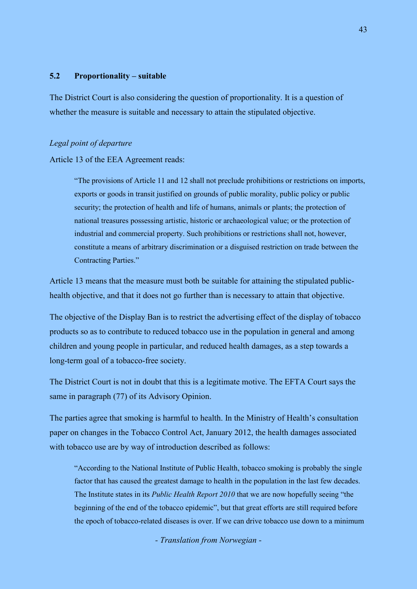## **5.2 Proportionality – suitable**

The District Court is also considering the question of proportionality. It is a question of whether the measure is suitable and necessary to attain the stipulated objective.

#### *Legal point of departure*

Article 13 of the EEA Agreement reads:

"The provisions of Article 11 and 12 shall not preclude prohibitions or restrictions on imports, exports or goods in transit justified on grounds of public morality, public policy or public security; the protection of health and life of humans, animals or plants; the protection of national treasures possessing artistic, historic or archaeological value; or the protection of industrial and commercial property. Such prohibitions or restrictions shall not, however, constitute a means of arbitrary discrimination or a disguised restriction on trade between the Contracting Parties."

Article 13 means that the measure must both be suitable for attaining the stipulated publichealth objective, and that it does not go further than is necessary to attain that objective.

The objective of the Display Ban is to restrict the advertising effect of the display of tobacco products so as to contribute to reduced tobacco use in the population in general and among children and young people in particular, and reduced health damages, as a step towards a long-term goal of a tobacco-free society.

The District Court is not in doubt that this is a legitimate motive. The EFTA Court says the same in paragraph (77) of its Advisory Opinion.

The parties agree that smoking is harmful to health. In the Ministry of Health's consultation paper on changes in the Tobacco Control Act, January 2012, the health damages associated with tobacco use are by way of introduction described as follows:

"According to the National Institute of Public Health, tobacco smoking is probably the single factor that has caused the greatest damage to health in the population in the last few decades. The Institute states in its *Public Health Report 2010* that we are now hopefully seeing "the beginning of the end of the tobacco epidemic", but that great efforts are still required before the epoch of tobacco-related diseases is over. If we can drive tobacco use down to a minimum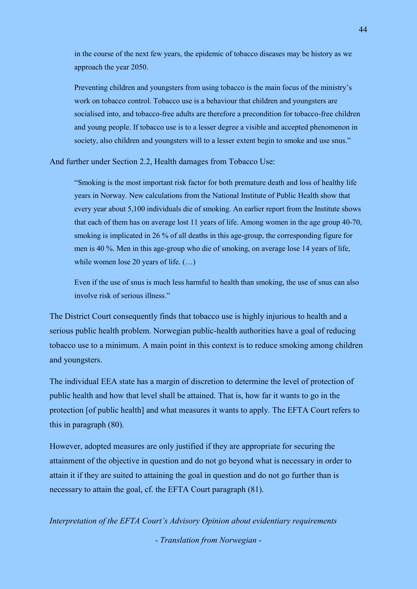in the course of the next few years, the epidemic of tobacco diseases may be history as we approach the year 2050.

Preventing children and youngsters from using tobacco is the main focus of the ministry's work on tobacco control. Tobacco use is a behaviour that children and youngsters are socialised into, and tobacco-free adults are therefore a precondition for tobacco-free children and young people. If tobacco use is to a lesser degree a visible and accepted phenomenon in society, also children and youngsters will to a lesser extent begin to smoke and use snus."

And further under Section 2.2, Health damages from Tobacco Use:

"Smoking is the most important risk factor for both premature death and loss of healthy life years in Norway. New calculations from the National Institute of Public Health show that every year about 5,100 individuals die of smoking. An earlier report from the Institute shows that each of them has on average lost 11 years of life. Among women in the age group 40-70, smoking is implicated in 26 % of all deaths in this age-group, the corresponding figure for men is 40 %. Men in this age-group who die of smoking, on average lose 14 years of life, while women lose 20 years of life.  $(...)$ 

Even if the use of snus is much less harmful to health than smoking, the use of snus can also involve risk of serious illness."

The District Court consequently finds that tobacco use is highly injurious to health and a serious public health problem. Norwegian public-health authorities have a goal of reducing tobacco use to a minimum. A main point in this context is to reduce smoking among children and youngsters.

The individual EEA state has a margin of discretion to determine the level of protection of public health and how that level shall be attained. That is, how far it wants to go in the protection [of public health] and what measures it wants to apply. The EFTA Court refers to this in paragraph (80).

However, adopted measures are only justified if they are appropriate for securing the attainment of the objective in question and do not go beyond what is necessary in order to attain it if they are suited to attaining the goal in question and do not go further than is necessary to attain the goal, cf. the EFTA Court paragraph (81).

*Interpretation of the EFTA Court's Advisory Opinion about evidentiary requirements*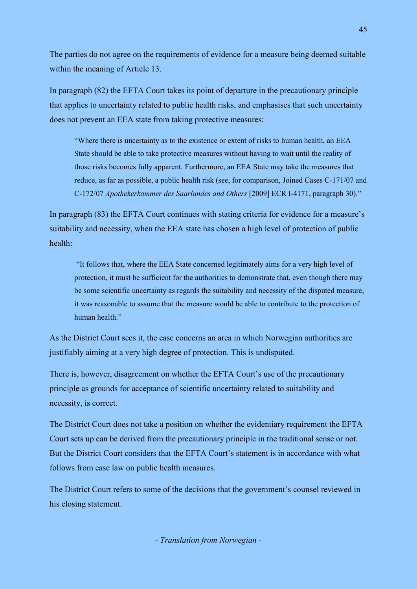The parties do not agree on the requirements of evidence for a measure being deemed suitable within the meaning of Article 13.

In paragraph (82) the EFTA Court takes its point of departure in the precautionary principle that applies to uncertainty related to public health risks, and emphasises that such uncertainty does not prevent an EEA state from taking protective measures:

"Where there is uncertainty as to the existence or extent of risks to human health, an EEA State should be able to take protective measures without having to wait until the reality of those risks becomes fully apparent. Furthermore, an EEA State may take the measures that reduce, as far as possible, a public health risk (see, for comparison, Joined Cases C-171/07 and C-172/07 *Apothekerkammer des Saarlandes and Others* [2009] ECR I-4171, paragraph 30)."

In paragraph (83) the EFTA Court continues with stating criteria for evidence for a measure's suitability and necessity, when the EEA state has chosen a high level of protection of public health:

"It follows that, where the EEA State concerned legitimately aims for a very high level of protection, it must be sufficient for the authorities to demonstrate that, even though there may be some scientific uncertainty as regards the suitability and necessity of the disputed measure, it was reasonable to assume that the measure would be able to contribute to the protection of human health."

As the District Court sees it, the case concerns an area in which Norwegian authorities are justifiably aiming at a very high degree of protection. This is undisputed.

There is, however, disagreement on whether the EFTA Court's use of the precautionary principle as grounds for acceptance of scientific uncertainty related to suitability and necessity, is correct.

The District Court does not take a position on whether the evidentiary requirement the EFTA Court sets up can be derived from the precautionary principle in the traditional sense or not. But the District Court considers that the EFTA Court's statement is in accordance with what follows from case law on public health measures.

The District Court refers to some of the decisions that the government's counsel reviewed in his closing statement.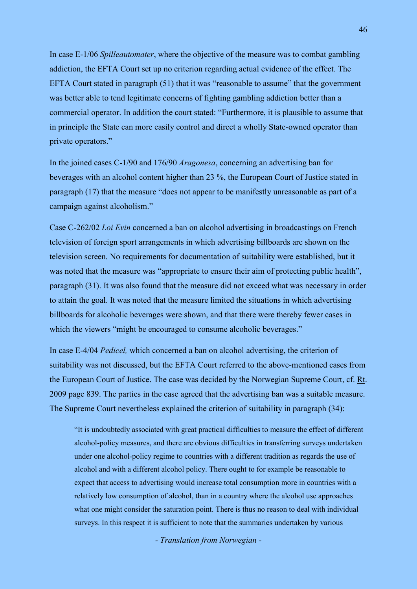In case E-1/06 *Spilleautomater*, where the objective of the measure was to combat gambling addiction, the EFTA Court set up no criterion regarding actual evidence of the effect. The EFTA Court stated in paragraph (51) that it was "reasonable to assume" that the government was better able to tend legitimate concerns of fighting gambling addiction better than a commercial operator. In addition the court stated: "Furthermore, it is plausible to assume that in principle the State can more easily control and direct a wholly State-owned operator than private operators."

In the joined cases C-1/90 and 176/90 *Aragonesa*, concerning an advertising ban for beverages with an alcohol content higher than 23 %, the European Court of Justice stated in paragraph (17) that the measure "does not appear to be manifestly unreasonable as part of a campaign against alcoholism."

Case C-262/02 *Loi Evin* concerned a ban on alcohol advertising in broadcastings on French television of foreign sport arrangements in which advertising billboards are shown on the television screen. No requirements for documentation of suitability were established, but it was noted that the measure was "appropriate to ensure their aim of protecting public health", paragraph (31). It was also found that the measure did not exceed what was necessary in order to attain the goal. It was noted that the measure limited the situations in which advertising billboards for alcoholic beverages were shown, and that there were thereby fewer cases in which the viewers "might be encouraged to consume alcoholic beverages."

In case E-4/04 *Pedicel,* which concerned a ban on alcohol advertising, the criterion of suitability was not discussed, but the EFTA Court referred to the above-mentioned cases from the European Court of Justice. The case was decided by the Norwegian Supreme Court, cf. Rt. 2009 page 839. The parties in the case agreed that the advertising ban was a suitable measure. The Supreme Court nevertheless explained the criterion of suitability in paragraph (34):

"It is undoubtedly associated with great practical difficulties to measure the effect of different alcohol-policy measures, and there are obvious difficulties in transferring surveys undertaken under one alcohol-policy regime to countries with a different tradition as regards the use of alcohol and with a different alcohol policy. There ought to for example be reasonable to expect that access to advertising would increase total consumption more in countries with a relatively low consumption of alcohol, than in a country where the alcohol use approaches what one might consider the saturation point. There is thus no reason to deal with individual surveys. In this respect it is sufficient to note that the summaries undertaken by various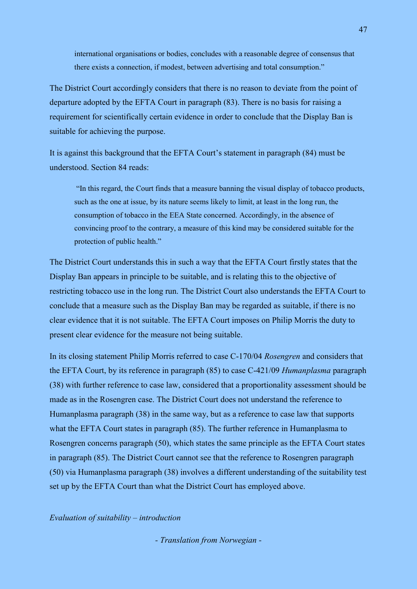international organisations or bodies, concludes with a reasonable degree of consensus that there exists a connection, if modest, between advertising and total consumption."

The District Court accordingly considers that there is no reason to deviate from the point of departure adopted by the EFTA Court in paragraph (83). There is no basis for raising a requirement for scientifically certain evidence in order to conclude that the Display Ban is suitable for achieving the purpose.

It is against this background that the EFTA Court's statement in paragraph (84) must be understood. Section 84 reads:

"In this regard, the Court finds that a measure banning the visual display of tobacco products, such as the one at issue, by its nature seems likely to limit, at least in the long run, the consumption of tobacco in the EEA State concerned. Accordingly, in the absence of convincing proof to the contrary, a measure of this kind may be considered suitable for the protection of public health."

The District Court understands this in such a way that the EFTA Court firstly states that the Display Ban appears in principle to be suitable, and is relating this to the objective of restricting tobacco use in the long run. The District Court also understands the EFTA Court to conclude that a measure such as the Display Ban may be regarded as suitable, if there is no clear evidence that it is not suitable. The EFTA Court imposes on Philip Morris the duty to present clear evidence for the measure not being suitable.

In its closing statement Philip Morris referred to case C-170/04 *Rosengren* and considers that the EFTA Court, by its reference in paragraph (85) to case C-421/09 *Humanplasma* paragraph (38) with further reference to case law, considered that a proportionality assessment should be made as in the Rosengren case. The District Court does not understand the reference to Humanplasma paragraph (38) in the same way, but as a reference to case law that supports what the EFTA Court states in paragraph (85). The further reference in Humanplasma to Rosengren concerns paragraph (50), which states the same principle as the EFTA Court states in paragraph (85). The District Court cannot see that the reference to Rosengren paragraph (50) via Humanplasma paragraph (38) involves a different understanding of the suitability test set up by the EFTA Court than what the District Court has employed above.

#### *Evaluation of suitability – introduction*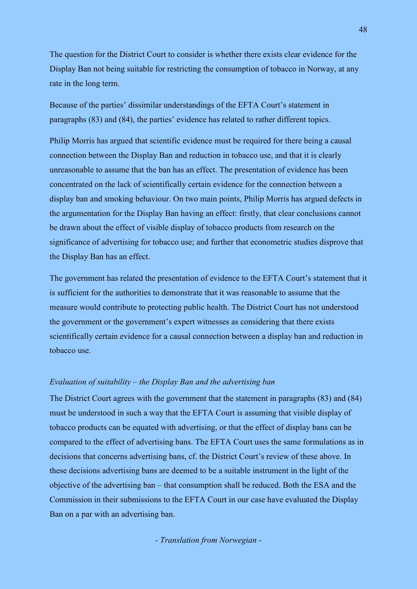The question for the District Court to consider is whether there exists clear evidence for the Display Ban not being suitable for restricting the consumption of tobacco in Norway, at any rate in the long term.

Because of the parties' dissimilar understandings of the EFTA Court's statement in paragraphs (83) and (84), the parties' evidence has related to rather different topics.

Philip Morris has argued that scientific evidence must be required for there being a causal connection between the Display Ban and reduction in tobacco use, and that it is clearly unreasonable to assume that the ban has an effect. The presentation of evidence has been concentrated on the lack of scientifically certain evidence for the connection between a display ban and smoking behaviour. On two main points, Philip Morris has argued defects in the argumentation for the Display Ban having an effect: firstly, that clear conclusions cannot be drawn about the effect of visible display of tobacco products from research on the significance of advertising for tobacco use; and further that econometric studies disprove that the Display Ban has an effect.

The government has related the presentation of evidence to the EFTA Court's statement that it is sufficient for the authorities to demonstrate that it was reasonable to assume that the measure would contribute to protecting public health. The District Court has not understood the government or the government's expert witnesses as considering that there exists scientifically certain evidence for a causal connection between a display ban and reduction in tobacco use.

## *Evaluation of suitability – the Display Ban and the advertising ban*

The District Court agrees with the government that the statement in paragraphs (83) and (84) must be understood in such a way that the EFTA Court is assuming that visible display of tobacco products can be equated with advertising, or that the effect of display bans can be compared to the effect of advertising bans. The EFTA Court uses the same formulations as in decisions that concerns advertising bans, cf. the District Court's review of these above. In these decisions advertising bans are deemed to be a suitable instrument in the light of the objective of the advertising ban – that consumption shall be reduced. Both the ESA and the Commission in their submissions to the EFTA Court in our case have evaluated the Display Ban on a par with an advertising ban.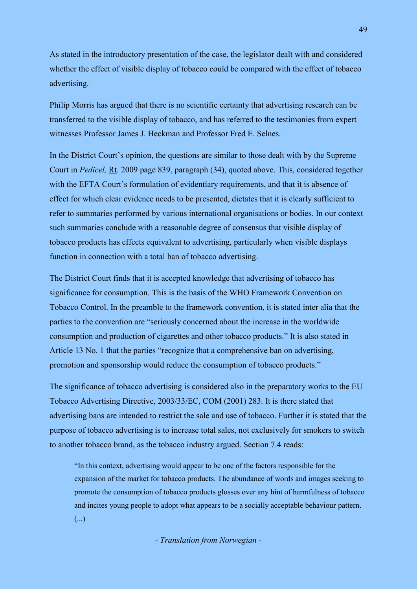As stated in the introductory presentation of the case, the legislator dealt with and considered whether the effect of visible display of tobacco could be compared with the effect of tobacco advertising.

Philip Morris has argued that there is no scientific certainty that advertising research can be transferred to the visible display of tobacco, and has referred to the testimonies from expert witnesses Professor James J. Heckman and Professor Fred E. Selnes.

In the District Court's opinion, the questions are similar to those dealt with by the Supreme Court in *Pedicel,* Rt. 2009 page 839, paragraph (34), quoted above. This, considered together with the EFTA Court's formulation of evidentiary requirements, and that it is absence of effect for which clear evidence needs to be presented, dictates that it is clearly sufficient to refer to summaries performed by various international organisations or bodies. In our context such summaries conclude with a reasonable degree of consensus that visible display of tobacco products has effects equivalent to advertising, particularly when visible displays function in connection with a total ban of tobacco advertising.

The District Court finds that it is accepted knowledge that advertising of tobacco has significance for consumption. This is the basis of the WHO Framework Convention on Tobacco Control. In the preamble to the framework convention, it is stated inter alia that the parties to the convention are "seriously concerned about the increase in the worldwide consumption and production of cigarettes and other tobacco products." It is also stated in Article 13 No. 1 that the parties "recognize that a comprehensive ban on advertising, promotion and sponsorship would reduce the consumption of tobacco products."

The significance of tobacco advertising is considered also in the preparatory works to the EU Tobacco Advertising Directive, 2003/33/EC, COM (2001) 283. It is there stated that advertising bans are intended to restrict the sale and use of tobacco. Further it is stated that the purpose of tobacco advertising is to increase total sales, not exclusively for smokers to switch to another tobacco brand, as the tobacco industry argued. Section 7.4 reads:

"In this context, advertising would appear to be one of the factors responsible for the expansion of the market for tobacco products. The abundance of words and images seeking to promote the consumption of tobacco products glosses over any hint of harmfulness of tobacco and incites young people to adopt what appears to be a socially acceptable behaviour pattern. (...)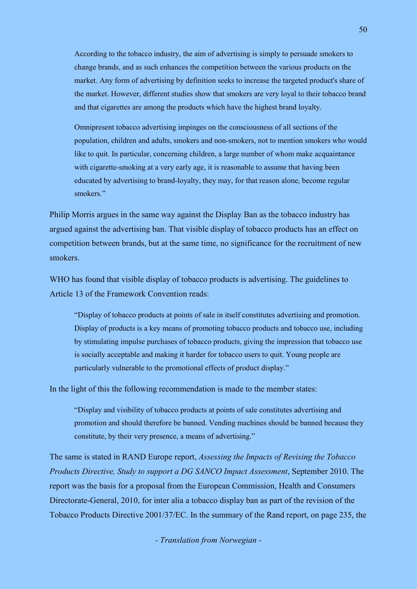According to the tobacco industry, the aim of advertising is simply to persuade smokers to change brands, and as such enhances the competition between the various products on the market. Any form of advertising by definition seeks to increase the targeted product's share of the market. However, different studies show that smokers are very loyal to their tobacco brand and that cigarettes are among the products which have the highest brand loyalty.

Omnipresent tobacco advertising impinges on the consciousness of all sections of the population, children and adults, smokers and non-smokers, not to mention smokers who would like to quit. In particular, concerning children, a large number of whom make acquaintance with cigarette-smoking at a very early age, it is reasonable to assume that having been educated by advertising to brand-loyalty, they may, for that reason alone, become regular smokers."

Philip Morris argues in the same way against the Display Ban as the tobacco industry has argued against the advertising ban. That visible display of tobacco products has an effect on competition between brands, but at the same time, no significance for the recruitment of new smokers.

WHO has found that visible display of tobacco products is advertising. The guidelines to Article 13 of the Framework Convention reads:

"Display of tobacco products at points of sale in itself constitutes advertising and promotion. Display of products is a key means of promoting tobacco products and tobacco use, including by stimulating impulse purchases of tobacco products, giving the impression that tobacco use is socially acceptable and making it harder for tobacco users to quit. Young people are particularly vulnerable to the promotional effects of product display."

In the light of this the following recommendation is made to the member states:

"Display and visibility of tobacco products at points of sale constitutes advertising and promotion and should therefore be banned. Vending machines should be banned because they constitute, by their very presence, a means of advertising."

The same is stated in RAND Europe report, *Assessing the Impacts of Revising the Tobacco Products Directive, Study to support a DG SANCO Impact Assessment*, September 2010. The report was the basis for a proposal from the European Commission, Health and Consumers Directorate-General, 2010, for inter alia a tobacco display ban as part of the revision of the Tobacco Products Directive 2001/37/EC. In the summary of the Rand report, on page 235, the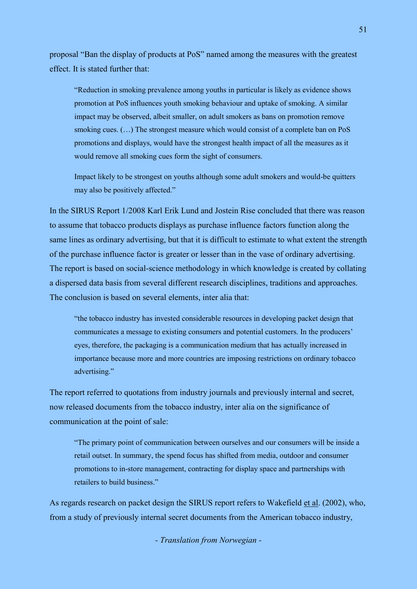proposal "Ban the display of products at PoS" named among the measures with the greatest effect. It is stated further that:

"Reduction in smoking prevalence among youths in particular is likely as evidence shows promotion at PoS influences youth smoking behaviour and uptake of smoking. A similar impact may be observed, albeit smaller, on adult smokers as bans on promotion remove smoking cues. (…) The strongest measure which would consist of a complete ban on PoS promotions and displays, would have the strongest health impact of all the measures as it would remove all smoking cues form the sight of consumers.

Impact likely to be strongest on youths although some adult smokers and would-be quitters may also be positively affected."

In the SIRUS Report 1/2008 Karl Erik Lund and Jostein Rise concluded that there was reason to assume that tobacco products displays as purchase influence factors function along the same lines as ordinary advertising, but that it is difficult to estimate to what extent the strength of the purchase influence factor is greater or lesser than in the vase of ordinary advertising. The report is based on social-science methodology in which knowledge is created by collating a dispersed data basis from several different research disciplines, traditions and approaches. The conclusion is based on several elements, inter alia that:

"the tobacco industry has invested considerable resources in developing packet design that communicates a message to existing consumers and potential customers. In the producers' eyes, therefore, the packaging is a communication medium that has actually increased in importance because more and more countries are imposing restrictions on ordinary tobacco advertising."

The report referred to quotations from industry journals and previously internal and secret, now released documents from the tobacco industry, inter alia on the significance of communication at the point of sale:

"The primary point of communication between ourselves and our consumers will be inside a retail outset. In summary, the spend focus has shifted from media, outdoor and consumer promotions to in-store management, contracting for display space and partnerships with retailers to build business."

As regards research on packet design the SIRUS report refers to Wakefield et al. (2002), who, from a study of previously internal secret documents from the American tobacco industry,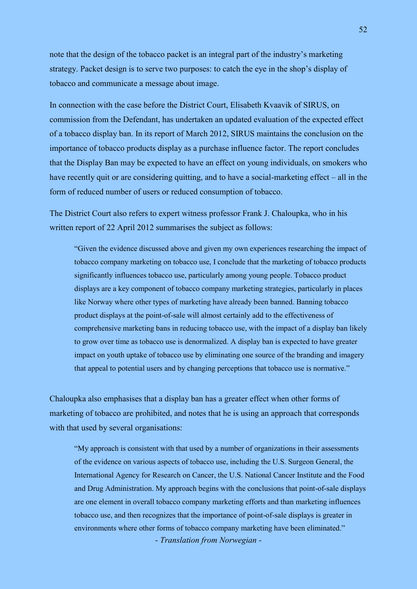note that the design of the tobacco packet is an integral part of the industry's marketing strategy. Packet design is to serve two purposes: to catch the eye in the shop's display of tobacco and communicate a message about image.

In connection with the case before the District Court, Elisabeth Kvaavik of SIRUS, on commission from the Defendant, has undertaken an updated evaluation of the expected effect of a tobacco display ban. In its report of March 2012, SIRUS maintains the conclusion on the importance of tobacco products display as a purchase influence factor. The report concludes that the Display Ban may be expected to have an effect on young individuals, on smokers who have recently quit or are considering quitting, and to have a social-marketing effect – all in the form of reduced number of users or reduced consumption of tobacco.

The District Court also refers to expert witness professor Frank J. Chaloupka, who in his written report of 22 April 2012 summarises the subject as follows:

"Given the evidence discussed above and given my own experiences researching the impact of tobacco company marketing on tobacco use, I conclude that the marketing of tobacco products significantly influences tobacco use, particularly among young people. Tobacco product displays are a key component of tobacco company marketing strategies, particularly in places like Norway where other types of marketing have already been banned. Banning tobacco product displays at the point-of-sale will almost certainly add to the effectiveness of comprehensive marketing bans in reducing tobacco use, with the impact of a display ban likely to grow over time as tobacco use is denormalized. A display ban is expected to have greater impact on youth uptake of tobacco use by eliminating one source of the branding and imagery that appeal to potential users and by changing perceptions that tobacco use is normative."

Chaloupka also emphasises that a display ban has a greater effect when other forms of marketing of tobacco are prohibited, and notes that he is using an approach that corresponds with that used by several organisations:

*- Translation from Norwegian -* "My approach is consistent with that used by a number of organizations in their assessments of the evidence on various aspects of tobacco use, including the U.S. Surgeon General, the International Agency for Research on Cancer, the U.S. National Cancer Institute and the Food and Drug Administration. My approach begins with the conclusions that point-of-sale displays are one element in overall tobacco company marketing efforts and than marketing influences tobacco use, and then recognizes that the importance of point-of-sale displays is greater in environments where other forms of tobacco company marketing have been eliminated."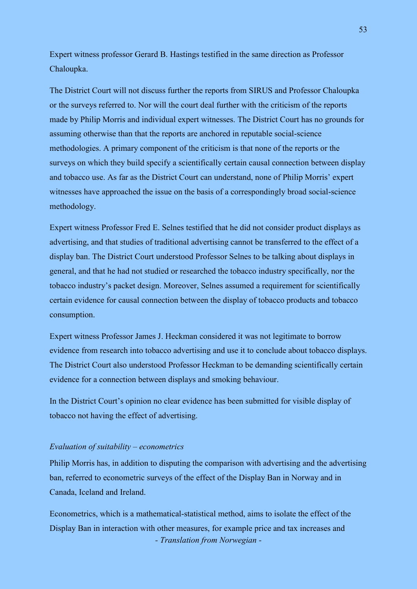Expert witness professor Gerard B. Hastings testified in the same direction as Professor Chaloupka.

The District Court will not discuss further the reports from SIRUS and Professor Chaloupka or the surveys referred to. Nor will the court deal further with the criticism of the reports made by Philip Morris and individual expert witnesses. The District Court has no grounds for assuming otherwise than that the reports are anchored in reputable social-science methodologies. A primary component of the criticism is that none of the reports or the surveys on which they build specify a scientifically certain causal connection between display and tobacco use. As far as the District Court can understand, none of Philip Morris' expert witnesses have approached the issue on the basis of a correspondingly broad social-science methodology.

Expert witness Professor Fred E. Selnes testified that he did not consider product displays as advertising, and that studies of traditional advertising cannot be transferred to the effect of a display ban. The District Court understood Professor Selnes to be talking about displays in general, and that he had not studied or researched the tobacco industry specifically, nor the tobacco industry's packet design. Moreover, Selnes assumed a requirement for scientifically certain evidence for causal connection between the display of tobacco products and tobacco consumption.

Expert witness Professor James J. Heckman considered it was not legitimate to borrow evidence from research into tobacco advertising and use it to conclude about tobacco displays. The District Court also understood Professor Heckman to be demanding scientifically certain evidence for a connection between displays and smoking behaviour.

In the District Court's opinion no clear evidence has been submitted for visible display of tobacco not having the effect of advertising.

## *Evaluation of suitability – econometrics*

Philip Morris has, in addition to disputing the comparison with advertising and the advertising ban, referred to econometric surveys of the effect of the Display Ban in Norway and in Canada, Iceland and Ireland.

*- Translation from Norwegian -* Econometrics, which is a mathematical-statistical method, aims to isolate the effect of the Display Ban in interaction with other measures, for example price and tax increases and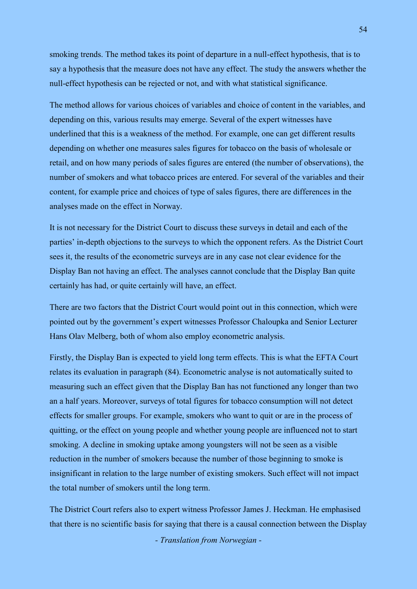smoking trends. The method takes its point of departure in a null-effect hypothesis, that is to say a hypothesis that the measure does not have any effect. The study the answers whether the null-effect hypothesis can be rejected or not, and with what statistical significance.

The method allows for various choices of variables and choice of content in the variables, and depending on this, various results may emerge. Several of the expert witnesses have underlined that this is a weakness of the method. For example, one can get different results depending on whether one measures sales figures for tobacco on the basis of wholesale or retail, and on how many periods of sales figures are entered (the number of observations), the number of smokers and what tobacco prices are entered. For several of the variables and their content, for example price and choices of type of sales figures, there are differences in the analyses made on the effect in Norway.

It is not necessary for the District Court to discuss these surveys in detail and each of the parties' in-depth objections to the surveys to which the opponent refers. As the District Court sees it, the results of the econometric surveys are in any case not clear evidence for the Display Ban not having an effect. The analyses cannot conclude that the Display Ban quite certainly has had, or quite certainly will have, an effect.

There are two factors that the District Court would point out in this connection, which were pointed out by the government's expert witnesses Professor Chaloupka and Senior Lecturer Hans Olav Melberg, both of whom also employ econometric analysis.

Firstly, the Display Ban is expected to yield long term effects. This is what the EFTA Court relates its evaluation in paragraph (84). Econometric analyse is not automatically suited to measuring such an effect given that the Display Ban has not functioned any longer than two an a half years. Moreover, surveys of total figures for tobacco consumption will not detect effects for smaller groups. For example, smokers who want to quit or are in the process of quitting, or the effect on young people and whether young people are influenced not to start smoking. A decline in smoking uptake among youngsters will not be seen as a visible reduction in the number of smokers because the number of those beginning to smoke is insignificant in relation to the large number of existing smokers. Such effect will not impact the total number of smokers until the long term.

The District Court refers also to expert witness Professor James J. Heckman. He emphasised that there is no scientific basis for saying that there is a causal connection between the Display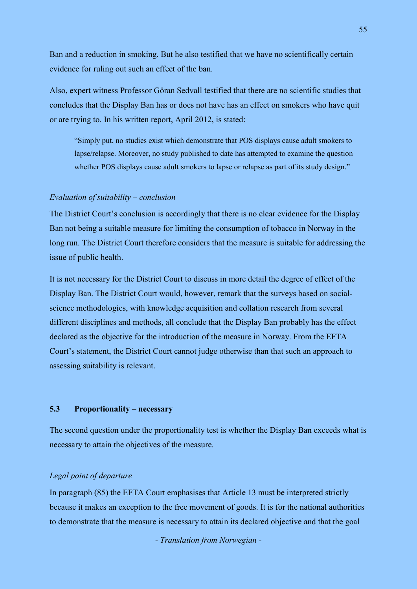Ban and a reduction in smoking. But he also testified that we have no scientifically certain evidence for ruling out such an effect of the ban.

Also, expert witness Professor Göran Sedvall testified that there are no scientific studies that concludes that the Display Ban has or does not have has an effect on smokers who have quit or are trying to. In his written report, April 2012, is stated:

"Simply put, no studies exist which demonstrate that POS displays cause adult smokers to lapse/relapse. Moreover, no study published to date has attempted to examine the question whether POS displays cause adult smokers to lapse or relapse as part of its study design."

#### *Evaluation of suitability – conclusion*

The District Court's conclusion is accordingly that there is no clear evidence for the Display Ban not being a suitable measure for limiting the consumption of tobacco in Norway in the long run. The District Court therefore considers that the measure is suitable for addressing the issue of public health.

It is not necessary for the District Court to discuss in more detail the degree of effect of the Display Ban. The District Court would, however, remark that the surveys based on socialscience methodologies, with knowledge acquisition and collation research from several different disciplines and methods, all conclude that the Display Ban probably has the effect declared as the objective for the introduction of the measure in Norway. From the EFTA Court's statement, the District Court cannot judge otherwise than that such an approach to assessing suitability is relevant.

# **5.3 Proportionality – necessary**

The second question under the proportionality test is whether the Display Ban exceeds what is necessary to attain the objectives of the measure.

## *Legal point of departure*

In paragraph (85) the EFTA Court emphasises that Article 13 must be interpreted strictly because it makes an exception to the free movement of goods. It is for the national authorities to demonstrate that the measure is necessary to attain its declared objective and that the goal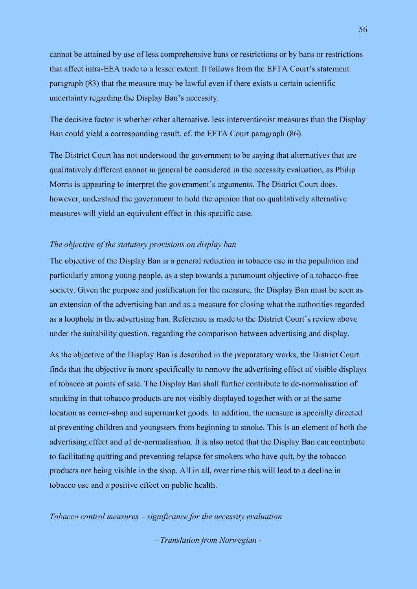cannot be attained by use of less comprehensive bans or restrictions or by bans or restrictions that affect intra-EEA trade to a lesser extent. It follows from the EFTA Court's statement paragraph (83) that the measure may be lawful even if there exists a certain scientific uncertainty regarding the Display Ban's necessity.

The decisive factor is whether other alternative, less interventionist measures than the Display Ban could yield a corresponding result, cf. the EFTA Court paragraph (86).

The District Court has not understood the government to be saying that alternatives that are qualitatively different cannot in general be considered in the necessity evaluation, as Philip Morris is appearing to interpret the government's arguments. The District Court does, however, understand the government to hold the opinion that no qualitatively alternative measures will yield an equivalent effect in this specific case.

### *The objective of the statutory provisions on display ban*

The objective of the Display Ban is a general reduction in tobacco use in the population and particularly among young people, as a step towards a paramount objective of a tobacco-free society. Given the purpose and justification for the measure, the Display Ban must be seen as an extension of the advertising ban and as a measure for closing what the authorities regarded as a loophole in the advertising ban. Reference is made to the District Court's review above under the suitability question, regarding the comparison between advertising and display.

As the objective of the Display Ban is described in the preparatory works, the District Court finds that the objective is more specifically to remove the advertising effect of visible displays of tobacco at points of sale. The Display Ban shall further contribute to de-normalisation of smoking in that tobacco products are not visibly displayed together with or at the same location as corner-shop and supermarket goods. In addition, the measure is specially directed at preventing children and youngsters from beginning to smoke. This is an element of both the advertising effect and of de-normalisation. It is also noted that the Display Ban can contribute to facilitating quitting and preventing relapse for smokers who have quit, by the tobacco products not being visible in the shop. All in all, over time this will lead to a decline in tobacco use and a positive effect on public health.

# *Tobacco control measures – significance for the necessity evaluation*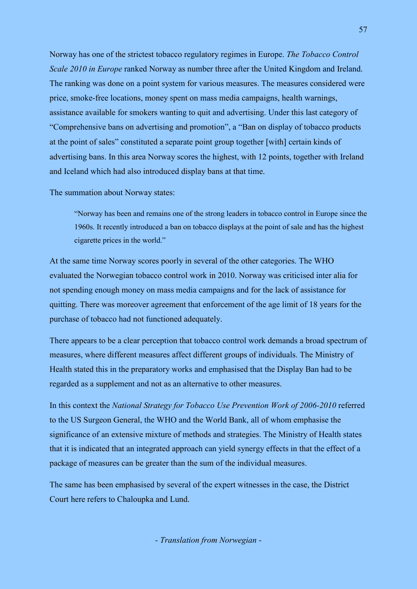Norway has one of the strictest tobacco regulatory regimes in Europe. *The Tobacco Control Scale 2010 in Europe* ranked Norway as number three after the United Kingdom and Ireland. The ranking was done on a point system for various measures. The measures considered were price, smoke-free locations, money spent on mass media campaigns, health warnings, assistance available for smokers wanting to quit and advertising. Under this last category of "Comprehensive bans on advertising and promotion", a "Ban on display of tobacco products at the point of sales" constituted a separate point group together [with] certain kinds of advertising bans. In this area Norway scores the highest, with 12 points, together with Ireland and Iceland which had also introduced display bans at that time.

The summation about Norway states:

"Norway has been and remains one of the strong leaders in tobacco control in Europe since the 1960s. It recently introduced a ban on tobacco displays at the point of sale and has the highest cigarette prices in the world."

At the same time Norway scores poorly in several of the other categories. The WHO evaluated the Norwegian tobacco control work in 2010. Norway was criticised inter alia for not spending enough money on mass media campaigns and for the lack of assistance for quitting. There was moreover agreement that enforcement of the age limit of 18 years for the purchase of tobacco had not functioned adequately.

There appears to be a clear perception that tobacco control work demands a broad spectrum of measures, where different measures affect different groups of individuals. The Ministry of Health stated this in the preparatory works and emphasised that the Display Ban had to be regarded as a supplement and not as an alternative to other measures.

In this context the *National Strategy for Tobacco Use Prevention Work of 2006-2010* referred to the US Surgeon General, the WHO and the World Bank, all of whom emphasise the significance of an extensive mixture of methods and strategies. The Ministry of Health states that it is indicated that an integrated approach can yield synergy effects in that the effect of a package of measures can be greater than the sum of the individual measures.

The same has been emphasised by several of the expert witnesses in the case, the District Court here refers to Chaloupka and Lund.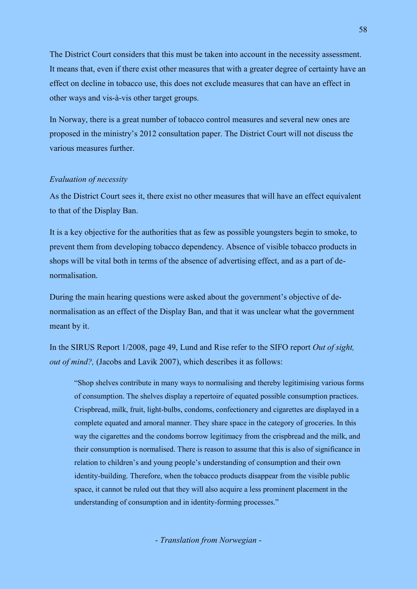The District Court considers that this must be taken into account in the necessity assessment. It means that, even if there exist other measures that with a greater degree of certainty have an effect on decline in tobacco use, this does not exclude measures that can have an effect in other ways and vis-à-vis other target groups.

In Norway, there is a great number of tobacco control measures and several new ones are proposed in the ministry's 2012 consultation paper. The District Court will not discuss the various measures further.

#### *Evaluation of necessity*

As the District Court sees it, there exist no other measures that will have an effect equivalent to that of the Display Ban.

It is a key objective for the authorities that as few as possible youngsters begin to smoke, to prevent them from developing tobacco dependency. Absence of visible tobacco products in shops will be vital both in terms of the absence of advertising effect, and as a part of denormalisation.

During the main hearing questions were asked about the government's objective of denormalisation as an effect of the Display Ban, and that it was unclear what the government meant by it.

In the SIRUS Report 1/2008, page 49, Lund and Rise refer to the SIFO report *Out of sight, out of mind?,* (Jacobs and Lavik 2007), which describes it as follows:

"Shop shelves contribute in many ways to normalising and thereby legitimising various forms of consumption. The shelves display a repertoire of equated possible consumption practices. Crispbread, milk, fruit, light-bulbs, condoms, confectionery and cigarettes are displayed in a complete equated and amoral manner. They share space in the category of groceries. In this way the cigarettes and the condoms borrow legitimacy from the crispbread and the milk, and their consumption is normalised. There is reason to assume that this is also of significance in relation to children's and young people's understanding of consumption and their own identity-building. Therefore, when the tobacco products disappear from the visible public space, it cannot be ruled out that they will also acquire a less prominent placement in the understanding of consumption and in identity-forming processes."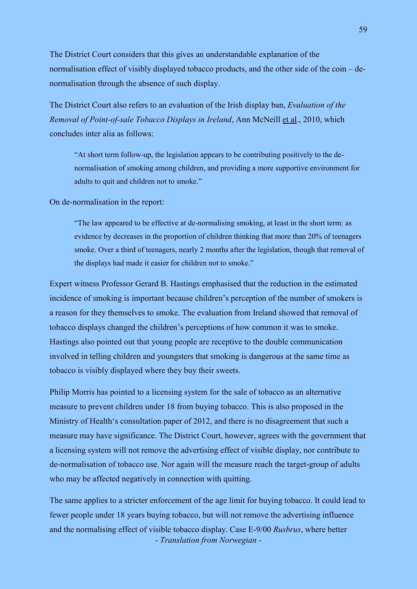The District Court considers that this gives an understandable explanation of the normalisation effect of visibly displayed tobacco products, and the other side of the coin – denormalisation through the absence of such display.

The District Court also refers to an evaluation of the Irish display ban, *Evaluation of the Removal of Point-of-sale Tobacco Displays in Ireland*, Ann McNeill et al., 2010, which concludes inter alia as follows:

"At short term follow-up, the legislation appears to be contributing positively to the denormalisation of smoking among children, and providing a more supportive environment for adults to quit and children not to smoke."

On de-normalisation in the report:

"The law appeared to be effective at de-normalising smoking, at least in the short term: as evidence by decreases in the proportion of children thinking that more than 20% of teenagers smoke. Over a third of teenagers, nearly 2 months after the legislation, though that removal of the displays had made it easier for children not to smoke."

Expert witness Professor Gerard B. Hastings emphasised that the reduction in the estimated incidence of smoking is important because children's perception of the number of smokers is a reason for they themselves to smoke. The evaluation from Ireland showed that removal of tobacco displays changed the children's perceptions of how common it was to smoke. Hastings also pointed out that young people are receptive to the double communication involved in telling children and youngsters that smoking is dangerous at the same time as tobacco is visibly displayed where they buy their sweets.

Philip Morris has pointed to a licensing system for the sale of tobacco as an alternative measure to prevent children under 18 from buying tobacco. This is also proposed in the Ministry of Health's consultation paper of 2012, and there is no disagreement that such a measure may have significance. The District Court, however, agrees with the government that a licensing system will not remove the advertising effect of visible display, nor contribute to de-normalisation of tobacco use. Nor again will the measure reach the target-group of adults who may be affected negatively in connection with quitting.

*- Translation from Norwegian -* The same applies to a stricter enforcement of the age limit for buying tobacco. It could lead to fewer people under 18 years buying tobacco, but will not remove the advertising influence and the normalising effect of visible tobacco display. Case E-9/00 *Rusbrus*, where better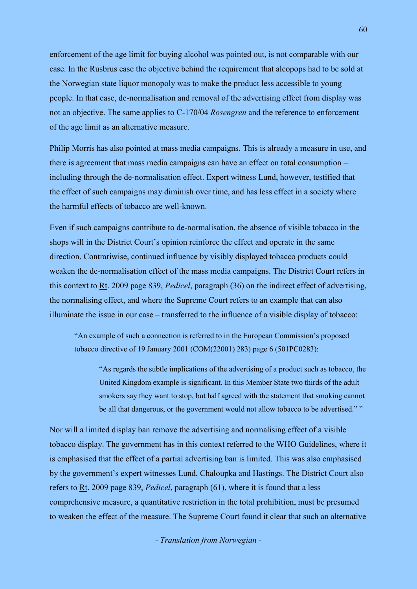enforcement of the age limit for buying alcohol was pointed out, is not comparable with our case. In the Rusbrus case the objective behind the requirement that alcopops had to be sold at the Norwegian state liquor monopoly was to make the product less accessible to young people. In that case, de-normalisation and removal of the advertising effect from display was not an objective. The same applies to C-170/04 *Rosengren* and the reference to enforcement of the age limit as an alternative measure.

Philip Morris has also pointed at mass media campaigns. This is already a measure in use, and there is agreement that mass media campaigns can have an effect on total consumption – including through the de-normalisation effect. Expert witness Lund, however, testified that the effect of such campaigns may diminish over time, and has less effect in a society where the harmful effects of tobacco are well-known.

Even if such campaigns contribute to de-normalisation, the absence of visible tobacco in the shops will in the District Court's opinion reinforce the effect and operate in the same direction. Contrariwise, continued influence by visibly displayed tobacco products could weaken the de-normalisation effect of the mass media campaigns. The District Court refers in this context to Rt. 2009 page 839, *Pedicel*, paragraph (36) on the indirect effect of advertising, the normalising effect, and where the Supreme Court refers to an example that can also illuminate the issue in our case – transferred to the influence of a visible display of tobacco:

"An example of such a connection is referred to in the European Commission's proposed tobacco directive of 19 January 2001 (COM(22001) 283) page 6 (501PC0283):

"As regards the subtle implications of the advertising of a product such as tobacco, the United Kingdom example is significant. In this Member State two thirds of the adult smokers say they want to stop, but half agreed with the statement that smoking cannot be all that dangerous, or the government would not allow tobacco to be advertised.""

Nor will a limited display ban remove the advertising and normalising effect of a visible tobacco display. The government has in this context referred to the WHO Guidelines, where it is emphasised that the effect of a partial advertising ban is limited. This was also emphasised by the government's expert witnesses Lund, Chaloupka and Hastings. The District Court also refers to Rt. 2009 page 839, *Pedicel*, paragraph (61), where it is found that a less comprehensive measure, a quantitative restriction in the total prohibition, must be presumed to weaken the effect of the measure. The Supreme Court found it clear that such an alternative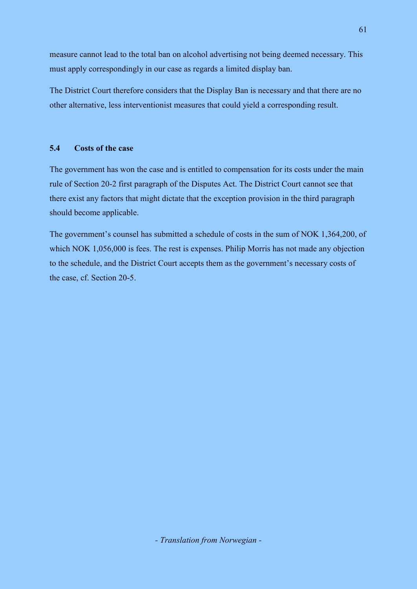measure cannot lead to the total ban on alcohol advertising not being deemed necessary. This must apply correspondingly in our case as regards a limited display ban.

The District Court therefore considers that the Display Ban is necessary and that there are no other alternative, less interventionist measures that could yield a corresponding result.

## **5.4 Costs of the case**

The government has won the case and is entitled to compensation for its costs under the main rule of Section 20-2 first paragraph of the Disputes Act. The District Court cannot see that there exist any factors that might dictate that the exception provision in the third paragraph should become applicable.

The government's counsel has submitted a schedule of costs in the sum of NOK 1,364,200, of which NOK 1,056,000 is fees. The rest is expenses. Philip Morris has not made any objection to the schedule, and the District Court accepts them as the government's necessary costs of the case, cf. Section 20-5.